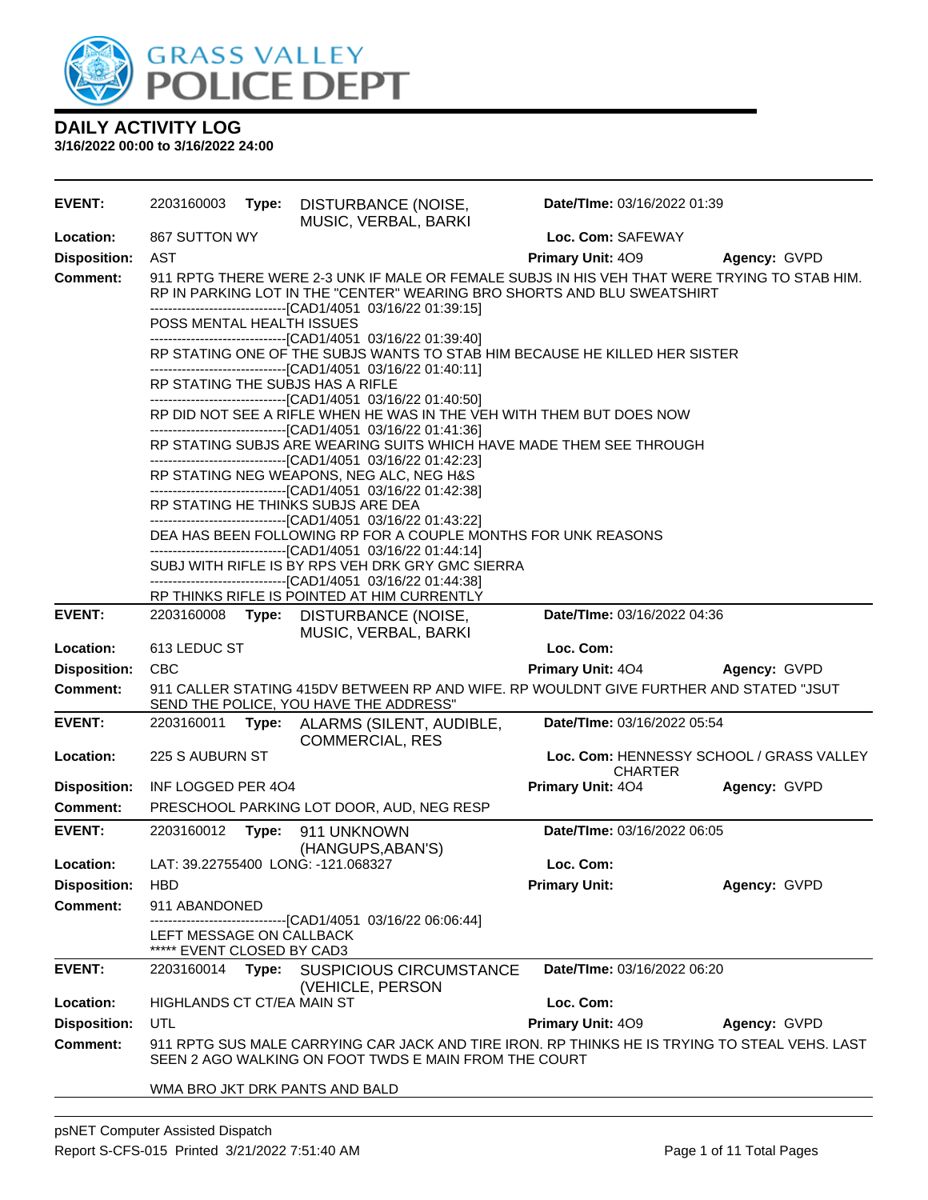

| <b>EVENT:</b>                                                                                                    | 2203160003                                                                                                                          | Type:                                                                                                                                                                                                                                   | DISTURBANCE (NOISE,<br>MUSIC, VERBAL, BARKI                                                                                                            | Date/TIme: 03/16/2022 01:39 |                                          |  |  |
|------------------------------------------------------------------------------------------------------------------|-------------------------------------------------------------------------------------------------------------------------------------|-----------------------------------------------------------------------------------------------------------------------------------------------------------------------------------------------------------------------------------------|--------------------------------------------------------------------------------------------------------------------------------------------------------|-----------------------------|------------------------------------------|--|--|
| Location:                                                                                                        | 867 SUTTON WY                                                                                                                       |                                                                                                                                                                                                                                         |                                                                                                                                                        | Loc. Com: SAFEWAY           |                                          |  |  |
| <b>Disposition:</b>                                                                                              | <b>AST</b>                                                                                                                          |                                                                                                                                                                                                                                         |                                                                                                                                                        | Primary Unit: 409           | Agency: GVPD                             |  |  |
| <b>Comment:</b>                                                                                                  |                                                                                                                                     | 911 RPTG THERE WERE 2-3 UNK IF MALE OR FEMALE SUBJS IN HIS VEH THAT WERE TRYING TO STAB HIM.<br>RP IN PARKING LOT IN THE "CENTER" WEARING BRO SHORTS AND BLU SWEATSHIRT<br>-------------------------------[CAD1/4051 03/16/22 01:39:15] |                                                                                                                                                        |                             |                                          |  |  |
|                                                                                                                  | POSS MENTAL HEALTH ISSUES                                                                                                           |                                                                                                                                                                                                                                         | --------------------------------[CAD1/4051 03/16/22 01:39:40]                                                                                          |                             |                                          |  |  |
|                                                                                                                  |                                                                                                                                     |                                                                                                                                                                                                                                         | RP STATING ONE OF THE SUBJS WANTS TO STAB HIM BECAUSE HE KILLED HER SISTER<br>-------------------------------[CAD1/4051 03/16/22 01:40:11]             |                             |                                          |  |  |
|                                                                                                                  |                                                                                                                                     |                                                                                                                                                                                                                                         | RP STATING THE SUBJS HAS A RIFLE<br>-------------------------------[CAD1/4051 03/16/22 01:40:50]                                                       |                             |                                          |  |  |
|                                                                                                                  |                                                                                                                                     |                                                                                                                                                                                                                                         | RP DID NOT SEE A RIFLE WHEN HE WAS IN THE VEH WITH THEM BUT DOES NOW<br>--------------------------------[CAD1/4051 03/16/22 01:41:36]                  |                             |                                          |  |  |
|                                                                                                                  | RP STATING SUBJS ARE WEARING SUITS WHICH HAVE MADE THEM SEE THROUGH<br>-------------------------------[CAD1/4051 03/16/22 01:42:23] |                                                                                                                                                                                                                                         |                                                                                                                                                        |                             |                                          |  |  |
|                                                                                                                  | RP STATING NEG WEAPONS, NEG ALC, NEG H&S<br>-------------------------------[CAD1/4051 03/16/22 01:42:38]                            |                                                                                                                                                                                                                                         |                                                                                                                                                        |                             |                                          |  |  |
|                                                                                                                  |                                                                                                                                     | RP STATING HE THINKS SUBJS ARE DEA<br>--------------------------------[CAD1/4051 03/16/22 01:43:22]                                                                                                                                     |                                                                                                                                                        |                             |                                          |  |  |
|                                                                                                                  |                                                                                                                                     | DEA HAS BEEN FOLLOWING RP FOR A COUPLE MONTHS FOR UNK REASONS<br>-------------------------------[CAD1/4051 03/16/22 01:44:14]                                                                                                           |                                                                                                                                                        |                             |                                          |  |  |
| SUBJ WITH RIFLE IS BY RPS VEH DRK GRY GMC SIERRA<br>-------------------------------[CAD1/4051 03/16/22 01:44:38] |                                                                                                                                     |                                                                                                                                                                                                                                         |                                                                                                                                                        |                             |                                          |  |  |
|                                                                                                                  |                                                                                                                                     |                                                                                                                                                                                                                                         | RP THINKS RIFLE IS POINTED AT HIM CURRENTLY                                                                                                            |                             |                                          |  |  |
| <b>EVENT:</b>                                                                                                    | 2203160008 Type:                                                                                                                    |                                                                                                                                                                                                                                         | DISTURBANCE (NOISE,<br>MUSIC, VERBAL, BARKI                                                                                                            | Date/TIme: 03/16/2022 04:36 |                                          |  |  |
| Location:                                                                                                        | 613 LEDUC ST                                                                                                                        |                                                                                                                                                                                                                                         |                                                                                                                                                        |                             |                                          |  |  |
|                                                                                                                  |                                                                                                                                     |                                                                                                                                                                                                                                         |                                                                                                                                                        | Loc. Com:                   |                                          |  |  |
| <b>Disposition:</b>                                                                                              | <b>CBC</b>                                                                                                                          |                                                                                                                                                                                                                                         |                                                                                                                                                        | <b>Primary Unit: 404</b>    | Agency: GVPD                             |  |  |
| <b>Comment:</b>                                                                                                  |                                                                                                                                     |                                                                                                                                                                                                                                         | 911 CALLER STATING 415DV BETWEEN RP AND WIFE. RP WOULDNT GIVE FURTHER AND STATED "JSUT<br>SEND THE POLICE, YOU HAVE THE ADDRESS"                       |                             |                                          |  |  |
| <b>EVENT:</b>                                                                                                    | 2203160011                                                                                                                          | Type:                                                                                                                                                                                                                                   | ALARMS (SILENT, AUDIBLE,                                                                                                                               | Date/TIme: 03/16/2022 05:54 |                                          |  |  |
| Location:                                                                                                        | 225 S AUBURN ST                                                                                                                     |                                                                                                                                                                                                                                         | <b>COMMERCIAL, RES</b>                                                                                                                                 | <b>CHARTER</b>              | Loc. Com: HENNESSY SCHOOL / GRASS VALLEY |  |  |
| <b>Disposition:</b>                                                                                              | INF LOGGED PER 404                                                                                                                  |                                                                                                                                                                                                                                         |                                                                                                                                                        | Primary Unit: 404           | Agency: GVPD                             |  |  |
| <b>Comment:</b>                                                                                                  |                                                                                                                                     |                                                                                                                                                                                                                                         | PRESCHOOL PARKING LOT DOOR, AUD, NEG RESP                                                                                                              |                             |                                          |  |  |
| <b>EVENT:</b>                                                                                                    | 2203160012                                                                                                                          | Type:                                                                                                                                                                                                                                   | 911 UNKNOWN<br>(HANGUPS, ABAN'S)                                                                                                                       | Date/TIme: 03/16/2022 06:05 |                                          |  |  |
| Location:                                                                                                        |                                                                                                                                     |                                                                                                                                                                                                                                         | LAT: 39.22755400 LONG: -121.068327                                                                                                                     | Loc. Com:                   |                                          |  |  |
| <b>Disposition:</b>                                                                                              | <b>HBD</b>                                                                                                                          |                                                                                                                                                                                                                                         |                                                                                                                                                        | <b>Primary Unit:</b>        | Agency: GVPD                             |  |  |
| <b>Comment:</b>                                                                                                  | 911 ABANDONED                                                                                                                       |                                                                                                                                                                                                                                         |                                                                                                                                                        |                             |                                          |  |  |
|                                                                                                                  | LEFT MESSAGE ON CALLBACK<br>***** EVENT CLOSED BY CAD3                                                                              |                                                                                                                                                                                                                                         | ----------------------------------[CAD1/4051 03/16/22 06:06:44]                                                                                        |                             |                                          |  |  |
| <b>EVENT:</b>                                                                                                    | 2203160014                                                                                                                          | Type:                                                                                                                                                                                                                                   | <b>SUSPICIOUS CIRCUMSTANCE</b>                                                                                                                         | Date/TIme: 03/16/2022 06:20 |                                          |  |  |
| Location:                                                                                                        | HIGHLANDS CT CT/EA MAIN ST                                                                                                          |                                                                                                                                                                                                                                         | (VEHICLE, PERSON                                                                                                                                       | Loc. Com:                   |                                          |  |  |
| <b>Disposition:</b>                                                                                              | UTL                                                                                                                                 |                                                                                                                                                                                                                                         |                                                                                                                                                        | Primary Unit: 409           | Agency: GVPD                             |  |  |
| <b>Comment:</b>                                                                                                  |                                                                                                                                     |                                                                                                                                                                                                                                         | 911 RPTG SUS MALE CARRYING CAR JACK AND TIRE IRON. RP THINKS HE IS TRYING TO STEAL VEHS. LAST<br>SEEN 2 AGO WALKING ON FOOT TWDS E MAIN FROM THE COURT |                             |                                          |  |  |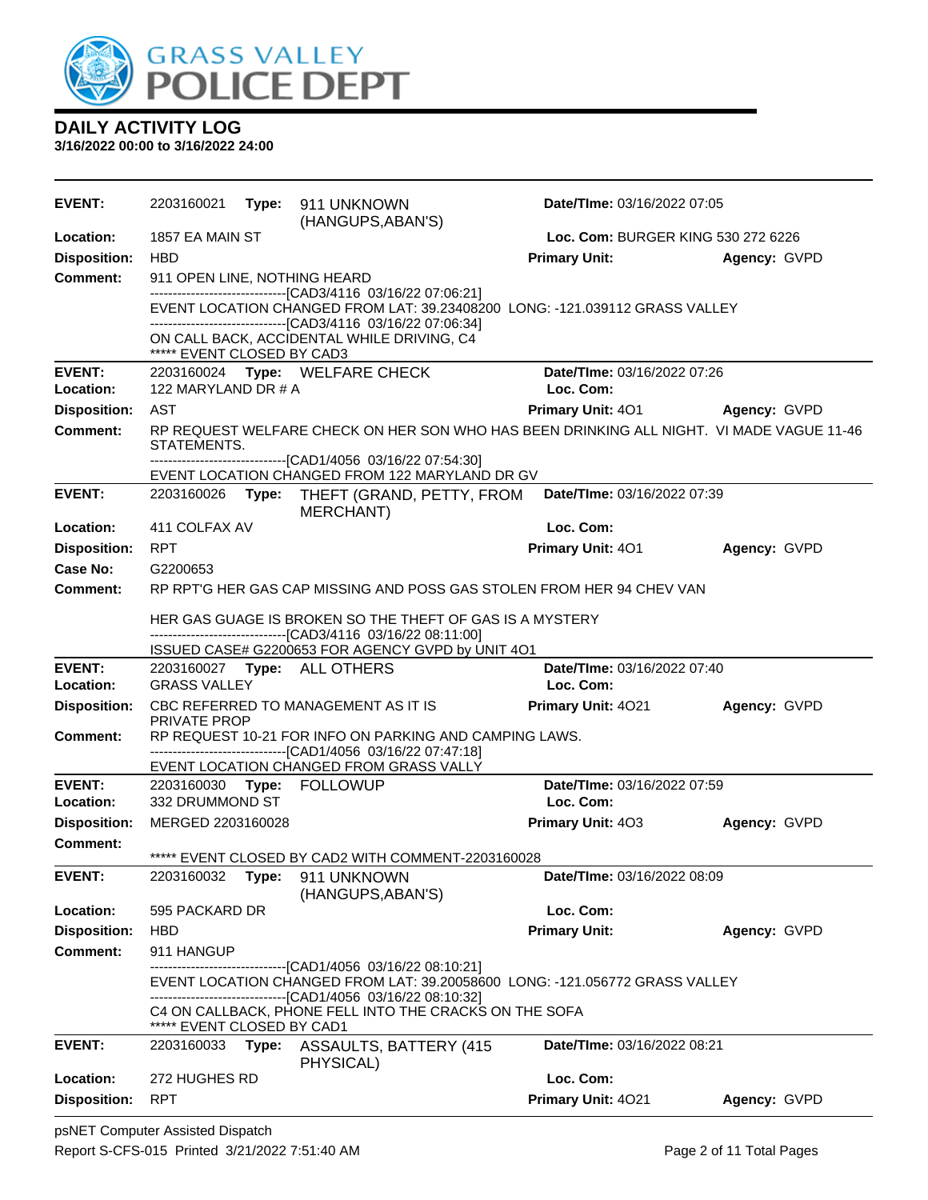

| <b>EVENT:</b>              | 2203160021                   |       | Type: 911 UNKNOWN<br>(HANGUPS, ABAN'S)                                                                  | Date/TIme: 03/16/2022 07:05                                                              |              |
|----------------------------|------------------------------|-------|---------------------------------------------------------------------------------------------------------|------------------------------------------------------------------------------------------|--------------|
| Location:                  | 1857 EA MAIN ST              |       |                                                                                                         | Loc. Com: BURGER KING 530 272 6226                                                       |              |
| <b>Disposition:</b>        | <b>HBD</b>                   |       |                                                                                                         | <b>Primary Unit:</b>                                                                     | Agency: GVPD |
| <b>Comment:</b>            | 911 OPEN LINE, NOTHING HEARD |       |                                                                                                         |                                                                                          |              |
|                            |                              |       | -------------------------------[CAD3/4116 03/16/22 07:06:21]                                            | EVENT LOCATION CHANGED FROM LAT: 39.23408200 LONG: -121.039112 GRASS VALLEY              |              |
|                            |                              |       | -------------------------------[CAD3/4116 03/16/22 07:06:34]                                            |                                                                                          |              |
|                            | ***** EVENT CLOSED BY CAD3   |       | ON CALL BACK, ACCIDENTAL WHILE DRIVING, C4                                                              |                                                                                          |              |
| <b>EVENT:</b>              |                              |       | 2203160024 Type: WELFARE CHECK                                                                          | Date/TIme: 03/16/2022 07:26                                                              |              |
| Location:                  | 122 MARYLAND DR # A          |       |                                                                                                         | Loc. Com:                                                                                |              |
| <b>Disposition:</b>        | AST                          |       |                                                                                                         | <b>Primary Unit: 401</b>                                                                 | Agency: GVPD |
| <b>Comment:</b>            | STATEMENTS.                  |       | -------------------------------[CAD1/4056 03/16/22 07:54:30]                                            | RP REQUEST WELFARE CHECK ON HER SON WHO HAS BEEN DRINKING ALL NIGHT. VI MADE VAGUE 11-46 |              |
|                            |                              |       | EVENT LOCATION CHANGED FROM 122 MARYLAND DR GV                                                          |                                                                                          |              |
| <b>EVENT:</b>              |                              |       | 2203160026 Type: THEFT (GRAND, PETTY, FROM<br>MERCHANT)                                                 | Date/TIme: 03/16/2022 07:39                                                              |              |
| Location:                  | 411 COLFAX AV                |       |                                                                                                         | Loc. Com:                                                                                |              |
| <b>Disposition:</b>        | <b>RPT</b>                   |       |                                                                                                         | <b>Primary Unit: 401</b>                                                                 | Agency: GVPD |
| Case No:                   | G2200653                     |       |                                                                                                         |                                                                                          |              |
| <b>Comment:</b>            |                              |       |                                                                                                         | RP RPT'G HER GAS CAP MISSING AND POSS GAS STOLEN FROM HER 94 CHEV VAN                    |              |
|                            |                              |       | HER GAS GUAGE IS BROKEN SO THE THEFT OF GAS IS A MYSTERY                                                |                                                                                          |              |
|                            |                              |       | -------------------------------[CAD3/4116 03/16/22 08:11:00]                                            |                                                                                          |              |
|                            |                              |       | ISSUED CASE# G2200653 FOR AGENCY GVPD by UNIT 4O1                                                       |                                                                                          |              |
| <b>EVENT:</b><br>Location: | <b>GRASS VALLEY</b>          |       | 2203160027 Type: ALL OTHERS                                                                             | Date/TIme: 03/16/2022 07:40<br>Loc. Com:                                                 |              |
| <b>Disposition:</b>        |                              |       | CBC REFERRED TO MANAGEMENT AS IT IS                                                                     | <b>Primary Unit: 4021</b>                                                                | Agency: GVPD |
|                            | <b>PRIVATE PROP</b>          |       |                                                                                                         |                                                                                          |              |
| Comment:                   |                              |       | RP REQUEST 10-21 FOR INFO ON PARKING AND CAMPING LAWS.                                                  |                                                                                          |              |
|                            |                              |       | -------------------------------[CAD1/4056 03/16/22 07:47:18]<br>EVENT LOCATION CHANGED FROM GRASS VALLY |                                                                                          |              |
| <b>EVENT:</b>              |                              |       | 2203160030 Type: FOLLOWUP                                                                               | Date/TIme: 03/16/2022 07:59                                                              |              |
| Location:                  | 332 DRUMMOND ST              |       |                                                                                                         | Loc. Com:                                                                                |              |
| <b>Disposition:</b>        | MERGED 2203160028            |       |                                                                                                         | <b>Primary Unit: 403</b>                                                                 | Agency: GVPD |
| <b>Comment:</b>            |                              |       |                                                                                                         |                                                                                          |              |
|                            |                              |       | ***** EVENT CLOSED BY CAD2 WITH COMMENT-2203160028                                                      |                                                                                          |              |
| <b>EVENT:</b>              | 2203160032                   |       | Type: 911 UNKNOWN<br>(HANGUPS, ABAN'S)                                                                  | Date/TIme: 03/16/2022 08:09                                                              |              |
| Location:                  | 595 PACKARD DR               |       |                                                                                                         | Loc. Com:                                                                                |              |
| <b>Disposition:</b>        | <b>HBD</b>                   |       |                                                                                                         | <b>Primary Unit:</b>                                                                     | Agency: GVPD |
| <b>Comment:</b>            | 911 HANGUP                   |       | ------------------[CAD1/4056_03/16/22_08:10:21]                                                         |                                                                                          |              |
|                            |                              |       |                                                                                                         | EVENT LOCATION CHANGED FROM LAT: 39.20058600 LONG: -121.056772 GRASS VALLEY              |              |
|                            |                              |       | -------------------------------[CAD1/4056 03/16/22 08:10:32]                                            |                                                                                          |              |
|                            | ***** EVENT CLOSED BY CAD1   |       | C4 ON CALLBACK, PHONE FELL INTO THE CRACKS ON THE SOFA                                                  |                                                                                          |              |
| <b>EVENT:</b>              | 2203160033                   | Type: | <b>ASSAULTS, BATTERY (415)</b><br>PHYSICAL)                                                             | Date/TIme: 03/16/2022 08:21                                                              |              |
| Location:                  | 272 HUGHES RD                |       |                                                                                                         | Loc. Com:                                                                                |              |
| <b>Disposition:</b>        | <b>RPT</b>                   |       |                                                                                                         | Primary Unit: 4021                                                                       | Agency: GVPD |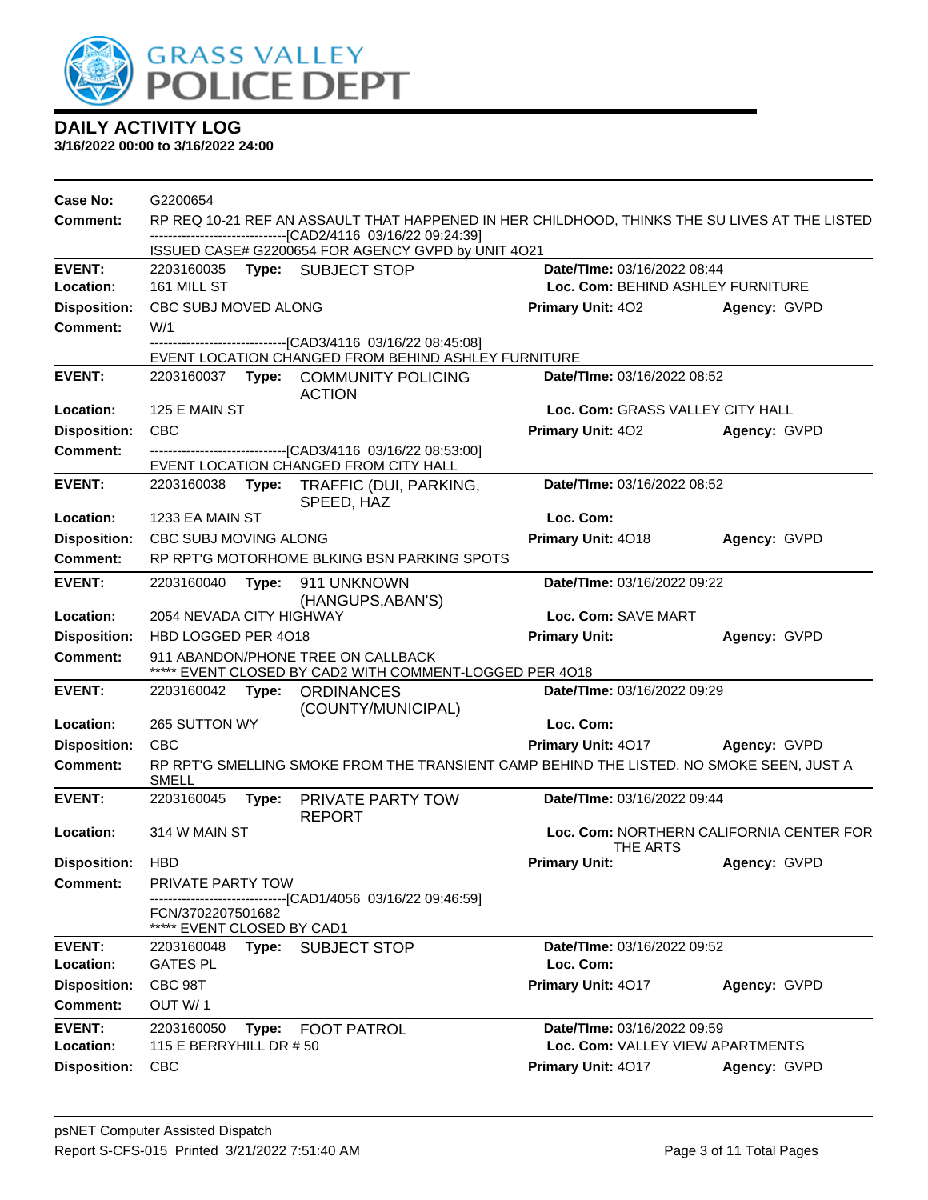

| Case No:            | G2200654                                           |       |                                                                                                                                                                |                                   |                                          |
|---------------------|----------------------------------------------------|-------|----------------------------------------------------------------------------------------------------------------------------------------------------------------|-----------------------------------|------------------------------------------|
| Comment:            |                                                    |       | RP REQ 10-21 REF AN ASSAULT THAT HAPPENED IN HER CHILDHOOD, THINKS THE SU LIVES AT THE LISTED<br>--------------------------------[CAD2/4116 03/16/22 09:24:39] |                                   |                                          |
|                     |                                                    |       | ISSUED CASE# G2200654 FOR AGENCY GVPD by UNIT 4O21                                                                                                             |                                   |                                          |
| <b>EVENT:</b>       |                                                    |       | 2203160035 Type: SUBJECT STOP                                                                                                                                  | Date/TIme: 03/16/2022 08:44       |                                          |
| Location:           | 161 MILL ST                                        |       |                                                                                                                                                                | Loc. Com: BEHIND ASHLEY FURNITURE |                                          |
| <b>Disposition:</b> | CBC SUBJ MOVED ALONG                               |       |                                                                                                                                                                | <b>Primary Unit: 402</b>          | Agency: GVPD                             |
| <b>Comment:</b>     | W/1                                                |       | ----------------------[CAD3/4116 03/16/22 08:45:08]                                                                                                            |                                   |                                          |
|                     |                                                    |       | EVENT LOCATION CHANGED FROM BEHIND ASHLEY FURNITURE                                                                                                            |                                   |                                          |
| <b>EVENT:</b>       |                                                    |       | 2203160037 Type: COMMUNITY POLICING<br><b>ACTION</b>                                                                                                           | Date/TIme: 03/16/2022 08:52       |                                          |
| Location:           | 125 E MAIN ST                                      |       |                                                                                                                                                                | Loc. Com: GRASS VALLEY CITY HALL  |                                          |
| <b>Disposition:</b> | <b>CBC</b>                                         |       |                                                                                                                                                                | <b>Primary Unit: 402</b>          | Agency: GVPD                             |
| <b>Comment:</b>     |                                                    |       | --------------------------------[CAD3/4116 03/16/22 08:53:00]<br>EVENT LOCATION CHANGED FROM CITY HALL                                                         |                                   |                                          |
| <b>EVENT:</b>       | 2203160038                                         |       | Type: TRAFFIC (DUI, PARKING,<br>SPEED, HAZ                                                                                                                     | Date/TIme: 03/16/2022 08:52       |                                          |
| Location:           | 1233 EA MAIN ST                                    |       |                                                                                                                                                                | Loc. Com:                         |                                          |
| <b>Disposition:</b> | CBC SUBJ MOVING ALONG                              |       |                                                                                                                                                                | Primary Unit: 4018                | Agency: GVPD                             |
| <b>Comment:</b>     |                                                    |       | RP RPT'G MOTORHOME BLKING BSN PARKING SPOTS                                                                                                                    |                                   |                                          |
| <b>EVENT:</b>       | 2203160040                                         | Type: | 911 UNKNOWN<br>(HANGUPS, ABAN'S)                                                                                                                               | Date/TIme: 03/16/2022 09:22       |                                          |
| Location:           | 2054 NEVADA CITY HIGHWAY                           |       |                                                                                                                                                                | Loc. Com: SAVE MART               |                                          |
| <b>Disposition:</b> | HBD LOGGED PER 4018                                |       |                                                                                                                                                                | <b>Primary Unit:</b>              | Agency: GVPD                             |
| <b>Comment:</b>     |                                                    |       | 911 ABANDON/PHONE TREE ON CALLBACK<br>***** EVENT CLOSED BY CAD2 WITH COMMENT-LOGGED PER 4018                                                                  |                                   |                                          |
| <b>EVENT:</b>       | 2203160042 Type:                                   |       | <b>ORDINANCES</b><br>(COUNTY/MUNICIPAL)                                                                                                                        | Date/TIme: 03/16/2022 09:29       |                                          |
| Location:           | 265 SUTTON WY                                      |       |                                                                                                                                                                | Loc. Com:                         |                                          |
| <b>Disposition:</b> | <b>CBC</b>                                         |       |                                                                                                                                                                | <b>Primary Unit: 4017</b>         | <b>Agency: GVPD</b>                      |
| <b>Comment:</b>     | <b>SMELL</b>                                       |       | RP RPT'G SMELLING SMOKE FROM THE TRANSIENT CAMP BEHIND THE LISTED. NO SMOKE SEEN, JUST A                                                                       |                                   |                                          |
| <b>EVENT:</b>       | 2203160045                                         |       | Type: PRIVATE PARTY TOW<br><b>REPORT</b>                                                                                                                       | Date/TIme: 03/16/2022 09:44       |                                          |
| Location:           | 314 W MAIN ST                                      |       |                                                                                                                                                                | THE ARTS                          | Loc. Com: NORTHERN CALIFORNIA CENTER FOR |
| <b>Disposition:</b> | <b>HBD</b>                                         |       |                                                                                                                                                                | <b>Primary Unit:</b>              | Agency: GVPD                             |
| <b>Comment:</b>     | <b>PRIVATE PARTY TOW</b>                           |       |                                                                                                                                                                |                                   |                                          |
|                     | FCN/3702207501682<br>*****<br>EVENT CLOSED BY CAD1 |       | ----------------[CAD1/4056_03/16/22_09:46:59]                                                                                                                  |                                   |                                          |
| <b>EVENT:</b>       | 2203160048                                         | Type: | <b>SUBJECT STOP</b>                                                                                                                                            | Date/TIme: 03/16/2022 09:52       |                                          |
| Location:           | <b>GATES PL</b>                                    |       |                                                                                                                                                                | Loc. Com:                         |                                          |
| <b>Disposition:</b> | CBC 98T                                            |       |                                                                                                                                                                | Primary Unit: 4017                | Agency: GVPD                             |
| Comment:            | OUT W/1                                            |       |                                                                                                                                                                |                                   |                                          |
| <b>EVENT:</b>       | 2203160050                                         | Type: | <b>FOOT PATROL</b>                                                                                                                                             | Date/TIme: 03/16/2022 09:59       |                                          |
| Location:           | 115 E BERRYHILL DR # 50                            |       |                                                                                                                                                                | Loc. Com: VALLEY VIEW APARTMENTS  |                                          |
| <b>Disposition:</b> | <b>CBC</b>                                         |       |                                                                                                                                                                | Primary Unit: 4017                | Agency: GVPD                             |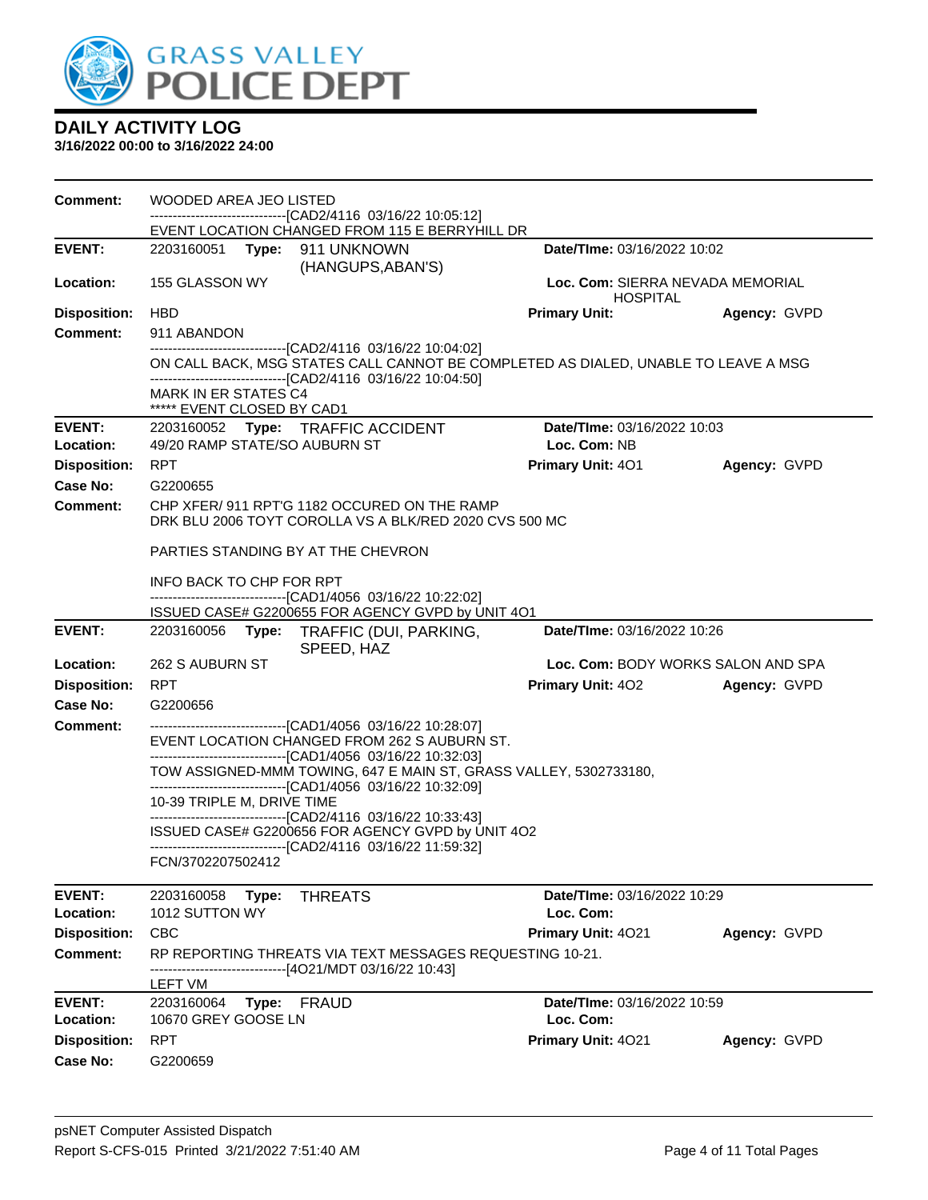

| <b>Comment:</b>                  | WOODED AREA JEO LISTED<br>-------------------------------[CAD2/4116 03/16/22 10:05:12]                                                                                                                              |                                                     |              |
|----------------------------------|---------------------------------------------------------------------------------------------------------------------------------------------------------------------------------------------------------------------|-----------------------------------------------------|--------------|
| <b>EVENT:</b>                    | EVENT LOCATION CHANGED FROM 115 E BERRYHILL DR<br>2203160051 Type: 911 UNKNOWN<br>(HANGUPS, ABAN'S)                                                                                                                 | Date/TIme: 03/16/2022 10:02                         |              |
| Location:                        | 155 GLASSON WY                                                                                                                                                                                                      | Loc. Com: SIERRA NEVADA MEMORIAL<br><b>HOSPITAL</b> |              |
| <b>Disposition:</b>              | <b>HBD</b>                                                                                                                                                                                                          | <b>Primary Unit:</b>                                | Agency: GVPD |
| <b>Comment:</b>                  | 911 ABANDON                                                                                                                                                                                                         |                                                     |              |
|                                  | -------------------------------[CAD2/4116 03/16/22 10:04:02]<br>ON CALL BACK, MSG STATES CALL CANNOT BE COMPLETED AS DIALED, UNABLE TO LEAVE A MSG<br>--------------------------------[CAD2/4116 03/16/22 10:04:50] |                                                     |              |
|                                  | <b>MARK IN ER STATES C4</b><br>***** EVENT CLOSED BY CAD1                                                                                                                                                           |                                                     |              |
| <b>EVENT:</b><br>Location:       | 2203160052 Type: TRAFFIC ACCIDENT<br>49/20 RAMP STATE/SO AUBURN ST                                                                                                                                                  | Date/TIme: 03/16/2022 10:03<br>Loc. Com: NB         |              |
| <b>Disposition:</b>              | <b>RPT</b>                                                                                                                                                                                                          | Primary Unit: 401                                   | Agency: GVPD |
| <b>Case No:</b>                  | G2200655                                                                                                                                                                                                            |                                                     |              |
| Comment:                         | CHP XFER/ 911 RPT'G 1182 OCCURED ON THE RAMP<br>DRK BLU 2006 TOYT COROLLA VS A BLK/RED 2020 CVS 500 MC                                                                                                              |                                                     |              |
|                                  | PARTIES STANDING BY AT THE CHEVRON                                                                                                                                                                                  |                                                     |              |
|                                  | INFO BACK TO CHP FOR RPT                                                                                                                                                                                            |                                                     |              |
|                                  | -------------------------------[CAD1/4056 03/16/22 10:22:02]<br>ISSUED CASE# G2200655 FOR AGENCY GVPD by UNIT 4O1                                                                                                   |                                                     |              |
| <b>EVENT:</b>                    | 2203160056 Type: TRAFFIC (DUI, PARKING,<br>SPEED, HAZ                                                                                                                                                               | Date/TIme: 03/16/2022 10:26                         |              |
| Location:                        | 262 S AUBURN ST                                                                                                                                                                                                     | Loc. Com: BODY WORKS SALON AND SPA                  |              |
| <b>Disposition:</b>              | <b>RPT</b>                                                                                                                                                                                                          | <b>Primary Unit: 402</b>                            | Agency: GVPD |
| <b>Case No:</b>                  | G2200656                                                                                                                                                                                                            |                                                     |              |
| <b>Comment:</b>                  | -------------------------------[CAD1/4056 03/16/22 10:28:07]<br>EVENT LOCATION CHANGED FROM 262 S AUBURN ST.<br>--------------------------------[CAD1/4056 03/16/22 10:32:03]                                       |                                                     |              |
|                                  | TOW ASSIGNED-MMM TOWING, 647 E MAIN ST, GRASS VALLEY, 5302733180,<br>-------------------------------[CAD1/4056 03/16/22 10:32:09]                                                                                   |                                                     |              |
|                                  | 10-39 TRIPLE M, DRIVE TIME                                                                                                                                                                                          |                                                     |              |
|                                  | --------------------------------[CAD2/4116 03/16/22 10:33:43]<br>ISSUED CASE# G2200656 FOR AGENCY GVPD by UNIT 4O2<br>-------------------------------[CAD2/4116 03/16/22 11:59:32]                                  |                                                     |              |
|                                  | FCN/3702207502412                                                                                                                                                                                                   |                                                     |              |
| <b>EVENT:</b>                    | 2203160058<br>Type:<br><b>THREATS</b>                                                                                                                                                                               | Date/TIme: 03/16/2022 10:29                         |              |
| Location:<br><b>Disposition:</b> | 1012 SUTTON WY<br><b>CBC</b>                                                                                                                                                                                        | Loc. Com:<br>Primary Unit: 4021                     | Agency: GVPD |
| <b>Comment:</b>                  | RP REPORTING THREATS VIA TEXT MESSAGES REQUESTING 10-21.                                                                                                                                                            |                                                     |              |
|                                  | -------------------------------[4O21/MDT 03/16/22 10:43]                                                                                                                                                            |                                                     |              |
| <b>EVENT:</b>                    | LEFT VM<br>2203160064<br>Type: FRAUD                                                                                                                                                                                | Date/TIme: 03/16/2022 10:59                         |              |
| Location:                        | 10670 GREY GOOSE LN                                                                                                                                                                                                 | Loc. Com:                                           |              |
| <b>Disposition:</b>              | <b>RPT</b>                                                                                                                                                                                                          | Primary Unit: 4021                                  | Agency: GVPD |
| <b>Case No:</b>                  | G2200659                                                                                                                                                                                                            |                                                     |              |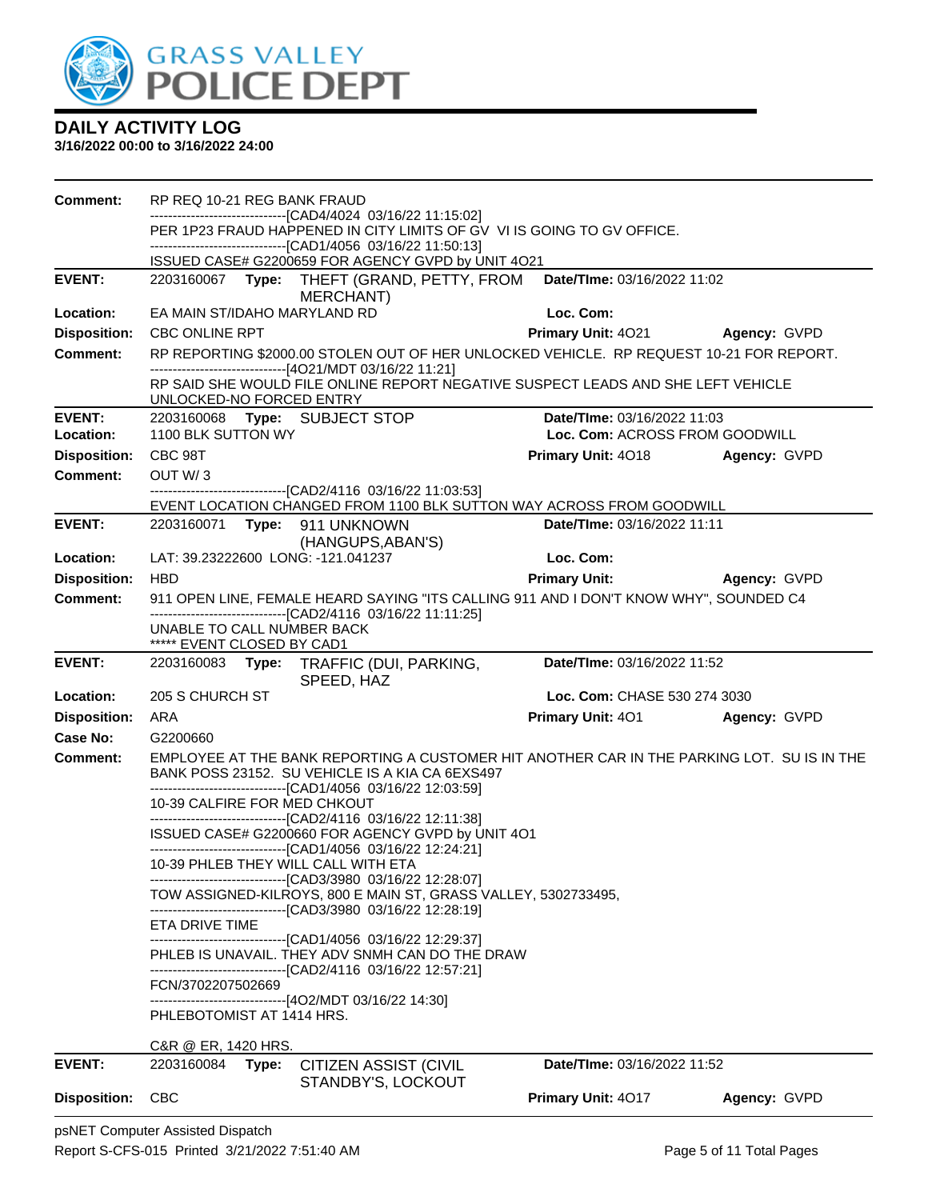

| <b>Comment:</b>     | RP REQ 10-21 REG BANK FRAUD        |                                                                                                                                                                                                                |                                 |              |
|---------------------|------------------------------------|----------------------------------------------------------------------------------------------------------------------------------------------------------------------------------------------------------------|---------------------------------|--------------|
|                     |                                    | ------------------------------[CAD4/4024_03/16/22 11:15:02]<br>PER 1P23 FRAUD HAPPENED IN CITY LIMITS OF GV VI IS GOING TO GV OFFICE.                                                                          |                                 |              |
|                     |                                    | ---------------------------------[CAD1/4056 03/16/22 11:50:13]                                                                                                                                                 |                                 |              |
|                     |                                    | ISSUED CASE# G2200659 FOR AGENCY GVPD by UNIT 4O21                                                                                                                                                             |                                 |              |
| <b>EVENT:</b>       |                                    | 2203160067 Type: THEFT (GRAND, PETTY, FROM<br>MERCHANT)                                                                                                                                                        | Date/TIme: 03/16/2022 11:02     |              |
| Location:           | EA MAIN ST/IDAHO MARYLAND RD       |                                                                                                                                                                                                                | Loc. Com:                       |              |
| <b>Disposition:</b> | <b>CBC ONLINE RPT</b>              |                                                                                                                                                                                                                | Primary Unit: 4021 Agency: GVPD |              |
| <b>Comment:</b>     |                                    | RP REPORTING \$2000.00 STOLEN OUT OF HER UNLOCKED VEHICLE. RP REQUEST 10-21 FOR REPORT.                                                                                                                        |                                 |              |
|                     | UNLOCKED-NO FORCED ENTRY           | ------------------------------[4O21/MDT 03/16/22 11:21]<br>RP SAID SHE WOULD FILE ONLINE REPORT NEGATIVE SUSPECT LEADS AND SHE LEFT VEHICLE                                                                    |                                 |              |
| <b>EVENT:</b>       |                                    | 2203160068 Type: SUBJECT STOP                                                                                                                                                                                  | Date/TIme: 03/16/2022 11:03     |              |
| Location:           | 1100 BLK SUTTON WY                 |                                                                                                                                                                                                                | Loc. Com: ACROSS FROM GOODWILL  |              |
| <b>Disposition:</b> | CBC 98T                            |                                                                                                                                                                                                                | <b>Primary Unit: 4018</b>       | Agency: GVPD |
| Comment:            | OUT W/3                            |                                                                                                                                                                                                                |                                 |              |
|                     |                                    | ---------------------------------[CAD2/4116 03/16/22 11:03:53]<br>EVENT LOCATION CHANGED FROM 1100 BLK SUTTON WAY ACROSS FROM GOODWILL                                                                         |                                 |              |
| <b>EVENT:</b>       |                                    | 2203160071    Type: 911    UNKNOWN                                                                                                                                                                             | Date/TIme: 03/16/2022 11:11     |              |
| Location:           | LAT: 39.23222600 LONG: -121.041237 | (HANGUPS, ABAN'S)                                                                                                                                                                                              | Loc. Com:                       |              |
| <b>Disposition:</b> | <b>HBD</b>                         |                                                                                                                                                                                                                | <b>Primary Unit:</b>            | Agency: GVPD |
| <b>Comment:</b>     |                                    | 911 OPEN LINE, FEMALE HEARD SAYING "ITS CALLING 911 AND I DON'T KNOW WHY", SOUNDED C4                                                                                                                          |                                 |              |
|                     | UNABLE TO CALL NUMBER BACK         | -------------------------------[CAD2/4116 03/16/22 11:11:25]                                                                                                                                                   |                                 |              |
|                     | ***** EVENT CLOSED BY CAD1         |                                                                                                                                                                                                                |                                 |              |
| <b>EVENT:</b>       |                                    | 2203160083 Type: TRAFFIC (DUI, PARKING,<br>SPEED, HAZ                                                                                                                                                          | Date/TIme: 03/16/2022 11:52     |              |
| Location:           | 205 S CHURCH ST                    |                                                                                                                                                                                                                | Loc. Com: CHASE 530 274 3030    |              |
| <b>Disposition:</b> | ARA                                |                                                                                                                                                                                                                | <b>Primary Unit: 401</b>        | Agency: GVPD |
| <b>Case No:</b>     | G2200660                           |                                                                                                                                                                                                                |                                 |              |
| Comment:            |                                    | EMPLOYEE AT THE BANK REPORTING A CUSTOMER HIT ANOTHER CAR IN THE PARKING LOT. SU IS IN THE<br>BANK POSS 23152. SU VEHICLE IS A KIA CA 6EXS497<br>--------------------------------[CAD1/4056 03/16/22 12:03:59] |                                 |              |
|                     | 10-39 CALFIRE FOR MED CHKOUT       | -------------------------------[CAD2/4116 03/16/22 12:11:38]                                                                                                                                                   |                                 |              |
|                     |                                    | ISSUED CASE# G2200660 FOR AGENCY GVPD by UNIT 4O1<br>-------------------------------[CAD1/4056 03/16/22 12:24:21]                                                                                              |                                 |              |
|                     |                                    | 10-39 PHLEB THEY WILL CALL WITH ETA                                                                                                                                                                            |                                 |              |
|                     |                                    | -------------------------------[CAD3/3980 03/16/22 12:28:07]<br>TOW ASSIGNED-KILROYS, 800 E MAIN ST, GRASS VALLEY, 5302733495,                                                                                 |                                 |              |
|                     | ETA DRIVE TIME                     | -------------------------------[CAD3/3980 03/16/22 12:28:19]                                                                                                                                                   |                                 |              |
|                     |                                    | -------------------------------[CAD1/4056 03/16/22 12:29:37]<br>PHLEB IS UNAVAIL. THEY ADV SNMH CAN DO THE DRAW                                                                                                |                                 |              |
|                     | FCN/3702207502669                  | -------------------------------[CAD2/4116 03/16/22 12:57:21]                                                                                                                                                   |                                 |              |
|                     | PHLEBOTOMIST AT 1414 HRS.          | -------------------------------[4O2/MDT 03/16/22 14:30]                                                                                                                                                        |                                 |              |
|                     | C&R @ ER, 1420 HRS.                |                                                                                                                                                                                                                |                                 |              |
| <b>EVENT:</b>       | 2203160084<br>Type:                | <b>CITIZEN ASSIST (CIVIL</b>                                                                                                                                                                                   | Date/TIme: 03/16/2022 11:52     |              |
| <b>Disposition:</b> | <b>CBC</b>                         | STANDBY'S, LOCKOUT                                                                                                                                                                                             | Primary Unit: 4017              | Agency: GVPD |
|                     | psNET Computer Assisted Dispatch   |                                                                                                                                                                                                                |                                 |              |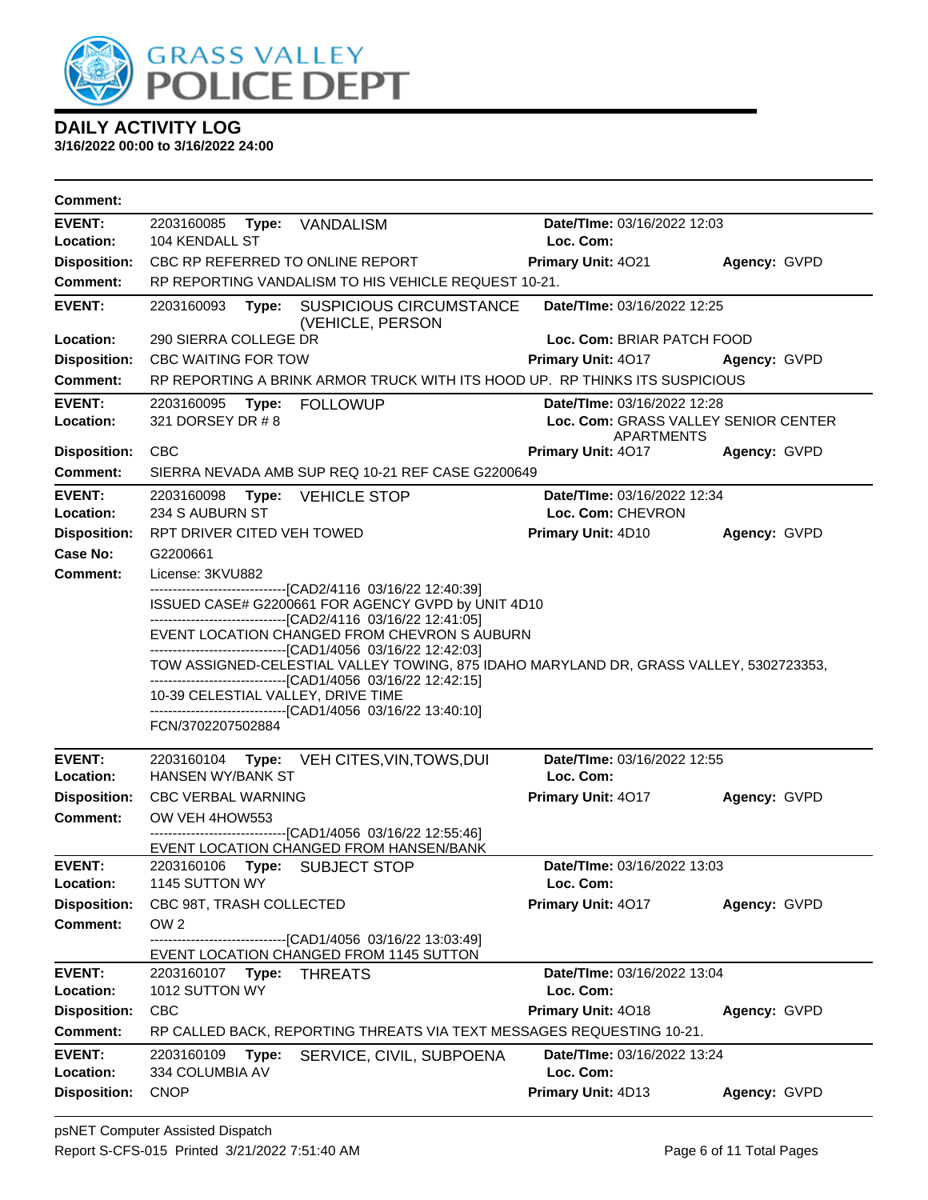

| Comment:                   |                                                                                                                                                                                                                                                                                                                                                    |                                                                                          |              |  |  |
|----------------------------|----------------------------------------------------------------------------------------------------------------------------------------------------------------------------------------------------------------------------------------------------------------------------------------------------------------------------------------------------|------------------------------------------------------------------------------------------|--------------|--|--|
| <b>EVENT:</b>              | 2203160085<br>Type: VANDALISM                                                                                                                                                                                                                                                                                                                      | Date/TIme: 03/16/2022 12:03                                                              |              |  |  |
| Location:                  | 104 KENDALL ST                                                                                                                                                                                                                                                                                                                                     | Loc. Com:                                                                                |              |  |  |
| <b>Disposition:</b>        | CBC RP REFERRED TO ONLINE REPORT                                                                                                                                                                                                                                                                                                                   | Primary Unit: 4021<br>Agency: GVPD                                                       |              |  |  |
| <b>Comment:</b>            | RP REPORTING VANDALISM TO HIS VEHICLE REQUEST 10-21.                                                                                                                                                                                                                                                                                               |                                                                                          |              |  |  |
| <b>EVENT:</b>              | 2203160093<br>Type:<br><b>SUSPICIOUS CIRCUMSTANCE</b><br>(VEHICLE, PERSON                                                                                                                                                                                                                                                                          | Date/TIme: 03/16/2022 12:25                                                              |              |  |  |
| Location:                  | 290 SIERRA COLLEGE DR                                                                                                                                                                                                                                                                                                                              | Loc. Com: BRIAR PATCH FOOD                                                               |              |  |  |
| <b>Disposition:</b>        | <b>CBC WAITING FOR TOW</b>                                                                                                                                                                                                                                                                                                                         | Primary Unit: 4017                                                                       | Agency: GVPD |  |  |
| <b>Comment:</b>            | RP REPORTING A BRINK ARMOR TRUCK WITH ITS HOOD UP. RP THINKS ITS SUSPICIOUS                                                                                                                                                                                                                                                                        |                                                                                          |              |  |  |
| <b>EVENT:</b><br>Location: | 2203160095<br>Type: FOLLOWUP<br>321 DORSEY DR # 8                                                                                                                                                                                                                                                                                                  | Date/TIme: 03/16/2022 12:28<br>Loc. Com: GRASS VALLEY SENIOR CENTER<br><b>APARTMENTS</b> |              |  |  |
| <b>Disposition:</b>        | CBC                                                                                                                                                                                                                                                                                                                                                | Primary Unit: 4017                                                                       | Agency: GVPD |  |  |
| <b>Comment:</b>            | SIERRA NEVADA AMB SUP REQ 10-21 REF CASE G2200649                                                                                                                                                                                                                                                                                                  |                                                                                          |              |  |  |
| EVENT:<br>Location:        | 2203160098<br>Type:<br><b>VEHICLE STOP</b><br>234 S AUBURN ST                                                                                                                                                                                                                                                                                      | Date/TIme: 03/16/2022 12:34<br>Loc. Com: CHEVRON                                         |              |  |  |
| <b>Disposition:</b>        | RPT DRIVER CITED VEH TOWED                                                                                                                                                                                                                                                                                                                         | Primary Unit: 4D10                                                                       | Agency: GVPD |  |  |
| Case No:                   | G2200661                                                                                                                                                                                                                                                                                                                                           |                                                                                          |              |  |  |
| <b>Comment:</b>            | License: 3KVU882                                                                                                                                                                                                                                                                                                                                   |                                                                                          |              |  |  |
|                            | --------------------------------[CAD2/4116 03/16/22 12:40:39]<br>ISSUED CASE# G2200661 FOR AGENCY GVPD by UNIT 4D10<br>-------------------------------[CAD2/4116 03/16/22 12:41:05]<br>EVENT LOCATION CHANGED FROM CHEVRON S AUBURN                                                                                                                |                                                                                          |              |  |  |
|                            | --------------------------------[CAD1/4056 03/16/22 12:42:03]<br>TOW ASSIGNED-CELESTIAL VALLEY TOWING, 875 IDAHO MARYLAND DR, GRASS VALLEY, 5302723353,<br>-------------------------------[CAD1/4056 03/16/22 12:42:15]<br>10-39 CELESTIAL VALLEY, DRIVE TIME<br>-------------------------------[CAD1/4056 03/16/22 13:40:10]<br>FCN/3702207502884 |                                                                                          |              |  |  |
| <b>EVENT:</b>              | 2203160104 Type:<br>VEH CITES, VIN, TOWS, DUI                                                                                                                                                                                                                                                                                                      | Date/TIme: 03/16/2022 12:55                                                              |              |  |  |
| Location:                  | HANSEN WY/BANK ST                                                                                                                                                                                                                                                                                                                                  | Loc. Com:                                                                                |              |  |  |
| <b>Disposition:</b>        | <b>CBC VERBAL WARNING</b>                                                                                                                                                                                                                                                                                                                          | Primary Unit: 4017                                                                       | Agency: GVPD |  |  |
| <b>Comment:</b>            | OW VEH 4HOW553<br>--------------------------[CAD1/4056_03/16/22 12:55:46]<br>EVENT LOCATION CHANGED FROM HANSEN/BANK                                                                                                                                                                                                                               |                                                                                          |              |  |  |
| <b>EVENT:</b>              | 2203160106<br>Type:<br><b>SUBJECT STOP</b>                                                                                                                                                                                                                                                                                                         | Date/TIme: 03/16/2022 13:03                                                              |              |  |  |
| Location:                  | 1145 SUTTON WY                                                                                                                                                                                                                                                                                                                                     | Loc. Com:                                                                                |              |  |  |
| <b>Disposition:</b>        | CBC 98T, TRASH COLLECTED                                                                                                                                                                                                                                                                                                                           | Primary Unit: 4017                                                                       | Agency: GVPD |  |  |
| <b>Comment:</b>            | OW <sub>2</sub>                                                                                                                                                                                                                                                                                                                                    |                                                                                          |              |  |  |
|                            | -----------------[CAD1/4056 03/16/22 13:03:49]<br>EVENT LOCATION CHANGED FROM 1145 SUTTON                                                                                                                                                                                                                                                          |                                                                                          |              |  |  |
| <b>EVENT:</b>              | 2203160107<br><b>THREATS</b><br>Type:                                                                                                                                                                                                                                                                                                              | Date/TIme: 03/16/2022 13:04                                                              |              |  |  |
| Location:                  | 1012 SUTTON WY                                                                                                                                                                                                                                                                                                                                     | Loc. Com:                                                                                |              |  |  |
| <b>Disposition:</b>        | CBC                                                                                                                                                                                                                                                                                                                                                | Primary Unit: 4018                                                                       | Agency: GVPD |  |  |
| <b>Comment:</b>            | RP CALLED BACK, REPORTING THREATS VIA TEXT MESSAGES REQUESTING 10-21.                                                                                                                                                                                                                                                                              |                                                                                          |              |  |  |
| <b>EVENT:</b><br>Location: | 2203160109<br>Type:<br>SERVICE, CIVIL, SUBPOENA<br>334 COLUMBIA AV                                                                                                                                                                                                                                                                                 | Date/TIme: 03/16/2022 13:24<br>Loc. Com:                                                 |              |  |  |
| <b>Disposition:</b>        | <b>CNOP</b>                                                                                                                                                                                                                                                                                                                                        | Primary Unit: 4D13                                                                       | Agency: GVPD |  |  |
|                            |                                                                                                                                                                                                                                                                                                                                                    |                                                                                          |              |  |  |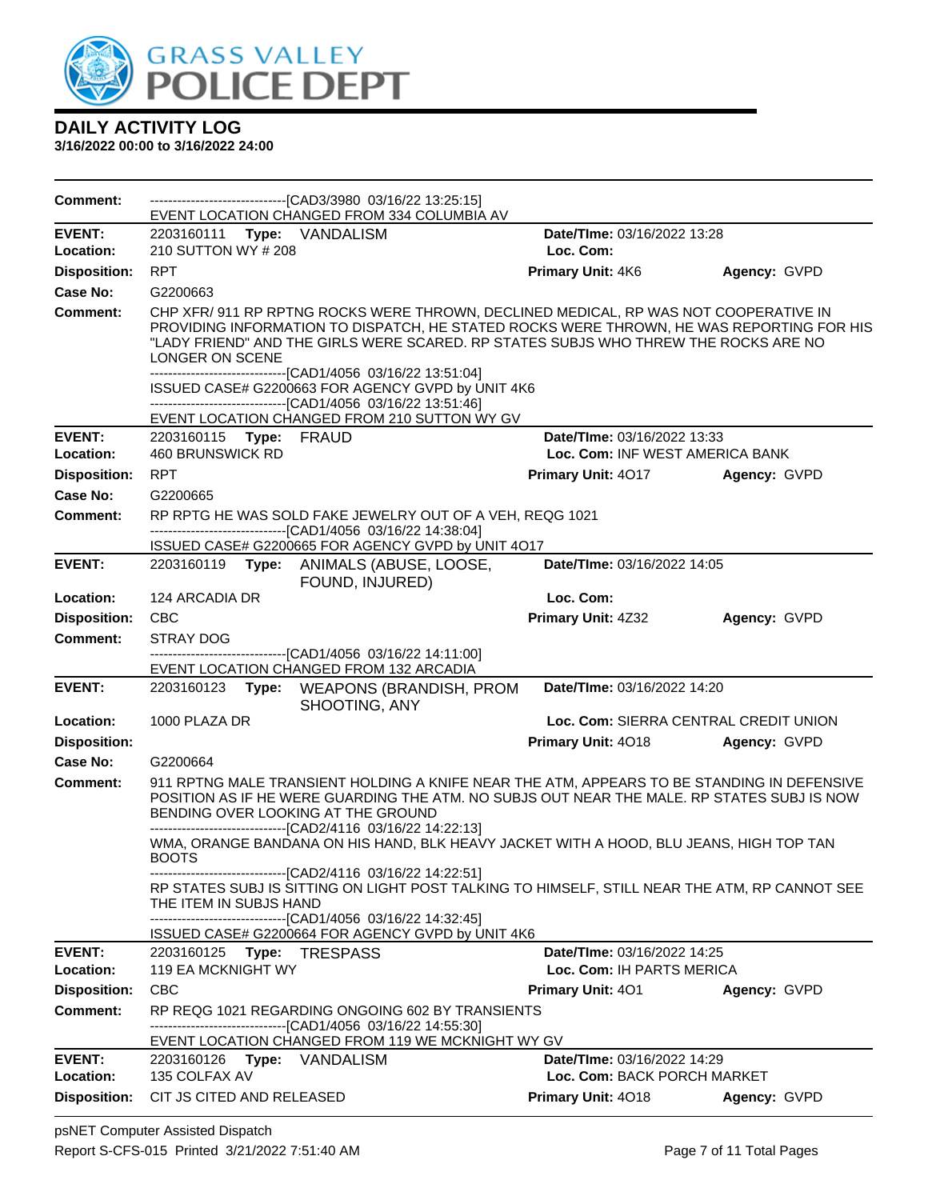

**3/16/2022 00:00 to 3/16/2022 24:00**

| <b>Comment:</b>                 | --------------------------------[CAD3/3980 03/16/22 13:25:15]<br>EVENT LOCATION CHANGED FROM 334 COLUMBIA AV                                                                                                                                                                                                                                                                                                                                                                                                                      |                                                          |              |
|---------------------------------|-----------------------------------------------------------------------------------------------------------------------------------------------------------------------------------------------------------------------------------------------------------------------------------------------------------------------------------------------------------------------------------------------------------------------------------------------------------------------------------------------------------------------------------|----------------------------------------------------------|--------------|
| <b>EVENT:</b>                   | 2203160111 Type: VANDALISM                                                                                                                                                                                                                                                                                                                                                                                                                                                                                                        | Date/TIme: 03/16/2022 13:28                              |              |
| Location:                       | 210 SUTTON WY # 208                                                                                                                                                                                                                                                                                                                                                                                                                                                                                                               | Loc. Com:                                                |              |
| <b>Disposition:</b>             | <b>RPT</b>                                                                                                                                                                                                                                                                                                                                                                                                                                                                                                                        | <b>Primary Unit: 4K6</b>                                 | Agency: GVPD |
| Case No:                        | G2200663                                                                                                                                                                                                                                                                                                                                                                                                                                                                                                                          |                                                          |              |
| Comment:                        | CHP XFR/ 911 RP RPTNG ROCKS WERE THROWN, DECLINED MEDICAL, RP WAS NOT COOPERATIVE IN<br>PROVIDING INFORMATION TO DISPATCH, HE STATED ROCKS WERE THROWN, HE WAS REPORTING FOR HIS<br>"LADY FRIEND" AND THE GIRLS WERE SCARED. RP STATES SUBJS WHO THREW THE ROCKS ARE NO<br>LONGER ON SCENE<br>---------------------------------[CAD1/4056 03/16/22 13:51:04]<br>ISSUED CASE# G2200663 FOR AGENCY GVPD by UNIT 4K6<br>-------------------------------[CAD1/4056 03/16/22 13:51:46]<br>EVENT LOCATION CHANGED FROM 210 SUTTON WY GV |                                                          |              |
| <b>EVENT:</b>                   | 2203160115 Type: FRAUD                                                                                                                                                                                                                                                                                                                                                                                                                                                                                                            | Date/TIme: 03/16/2022 13:33                              |              |
| Location:                       | <b>460 BRUNSWICK RD</b>                                                                                                                                                                                                                                                                                                                                                                                                                                                                                                           | Loc. Com: INF WEST AMERICA BANK                          |              |
| <b>Disposition:</b><br>Case No: | <b>RPT</b><br>G2200665                                                                                                                                                                                                                                                                                                                                                                                                                                                                                                            | <b>Primary Unit: 4017</b>                                | Agency: GVPD |
| Comment:                        | RP RPTG HE WAS SOLD FAKE JEWELRY OUT OF A VEH, REQG 1021<br>-------------------------------[CAD1/4056 03/16/22 14:38:04]<br>ISSUED CASE# G2200665 FOR AGENCY GVPD by UNIT 4O17                                                                                                                                                                                                                                                                                                                                                    |                                                          |              |
| <b>EVENT:</b>                   | 2203160119<br>Type: ANIMALS (ABUSE, LOOSE,<br>FOUND, INJURED)                                                                                                                                                                                                                                                                                                                                                                                                                                                                     | Date/TIme: 03/16/2022 14:05                              |              |
| Location:                       | 124 ARCADIA DR                                                                                                                                                                                                                                                                                                                                                                                                                                                                                                                    | Loc. Com:                                                |              |
| <b>Disposition:</b>             | <b>CBC</b>                                                                                                                                                                                                                                                                                                                                                                                                                                                                                                                        | Primary Unit: 4Z32                                       | Agency: GVPD |
| <b>Comment:</b>                 | STRAY DOG                                                                                                                                                                                                                                                                                                                                                                                                                                                                                                                         |                                                          |              |
|                                 | -------------------------------[CAD1/4056 03/16/22 14:11:00]<br>EVENT LOCATION CHANGED FROM 132 ARCADIA                                                                                                                                                                                                                                                                                                                                                                                                                           |                                                          |              |
| <b>EVENT:</b>                   | 2203160123<br>Type:<br><b>WEAPONS (BRANDISH, PROM</b><br>SHOOTING, ANY                                                                                                                                                                                                                                                                                                                                                                                                                                                            | Date/TIme: 03/16/2022 14:20                              |              |
| Location:                       | 1000 PLAZA DR                                                                                                                                                                                                                                                                                                                                                                                                                                                                                                                     | Loc. Com: SIERRA CENTRAL CREDIT UNION                    |              |
| <b>Disposition:</b>             |                                                                                                                                                                                                                                                                                                                                                                                                                                                                                                                                   | Primary Unit: 4018                                       | Agency: GVPD |
| Case No:                        | G2200664                                                                                                                                                                                                                                                                                                                                                                                                                                                                                                                          |                                                          |              |
| Comment:                        | 911 RPTNG MALE TRANSIENT HOLDING A KNIFE NEAR THE ATM, APPEARS TO BE STANDING IN DEFENSIVE<br>POSITION AS IF HE WERE GUARDING THE ATM. NO SUBJS OUT NEAR THE MALE. RP STATES SUBJ IS NOW<br>BENDING OVER LOOKING AT THE GROUND<br>----------------------------------[CAD2/4116_03/16/22_14:22:13]                                                                                                                                                                                                                                 |                                                          |              |
|                                 | WMA, ORANGE BANDANA ON HIS HAND, BLK HEAVY JACKET WITH A HOOD, BLU JEANS, HIGH TOP TAN<br><b>BOOTS</b>                                                                                                                                                                                                                                                                                                                                                                                                                            |                                                          |              |
|                                 | ------------------------------[CAD2/4116 03/16/22 14:22:51]<br>RP STATES SUBJ IS SITTING ON LIGHT POST TALKING TO HIMSELF, STILL NEAR THE ATM, RP CANNOT SEE<br>THE ITEM IN SUBJS HAND<br>-------------------------------[CAD1/4056 03/16/22 14:32:45]                                                                                                                                                                                                                                                                            |                                                          |              |
|                                 | ISSUED CASE# G2200664 FOR AGENCY GVPD by UNIT 4K6                                                                                                                                                                                                                                                                                                                                                                                                                                                                                 |                                                          |              |
| <b>EVENT:</b><br>Location:      | 2203160125 Type: TRESPASS<br><b>119 EA MCKNIGHT WY</b>                                                                                                                                                                                                                                                                                                                                                                                                                                                                            | Date/TIme: 03/16/2022 14:25<br>Loc. Com: IH PARTS MERICA |              |
| <b>Disposition:</b>             | <b>CBC</b>                                                                                                                                                                                                                                                                                                                                                                                                                                                                                                                        | <b>Primary Unit: 401</b>                                 | Agency: GVPD |
| <b>Comment:</b>                 | RP REQG 1021 REGARDING ONGOING 602 BY TRANSIENTS<br>--------------------------------[CAD1/4056 03/16/22 14:55:30]                                                                                                                                                                                                                                                                                                                                                                                                                 |                                                          |              |
|                                 | EVENT LOCATION CHANGED FROM 119 WE MCKNIGHT WY GV                                                                                                                                                                                                                                                                                                                                                                                                                                                                                 |                                                          |              |
| <b>EVENT:</b>                   | 2203160126 Type: VANDALISM                                                                                                                                                                                                                                                                                                                                                                                                                                                                                                        | Date/TIme: 03/16/2022 14:29                              |              |
| Location:                       | 135 COLFAX AV                                                                                                                                                                                                                                                                                                                                                                                                                                                                                                                     | Loc. Com: BACK PORCH MARKET                              |              |
|                                 | Disposition: CIT JS CITED AND RELEASED                                                                                                                                                                                                                                                                                                                                                                                                                                                                                            | Primary Unit: 4018                                       | Agency: GVPD |

psNET Computer Assisted Dispatch Report S-CFS-015 Printed 3/21/2022 7:51:40 AM Page 7 of 11 Total Pages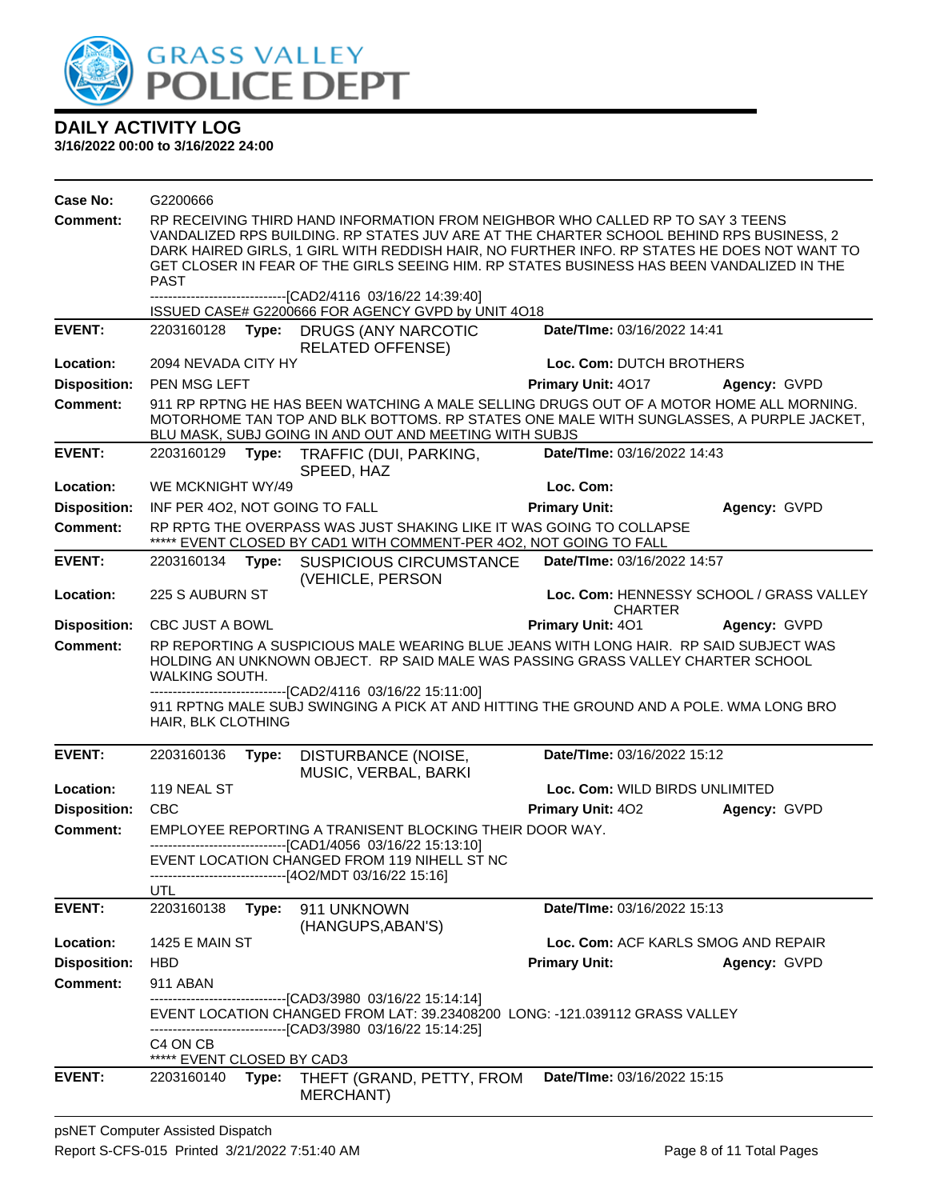

| Case No:            | G2200666                                                                                                                                                                                                                                                           |       |                                                                                                                                                                                                                                                                                                                                                                       |                                     |                                          |
|---------------------|--------------------------------------------------------------------------------------------------------------------------------------------------------------------------------------------------------------------------------------------------------------------|-------|-----------------------------------------------------------------------------------------------------------------------------------------------------------------------------------------------------------------------------------------------------------------------------------------------------------------------------------------------------------------------|-------------------------------------|------------------------------------------|
| <b>Comment:</b>     | <b>PAST</b>                                                                                                                                                                                                                                                        |       | RP RECEIVING THIRD HAND INFORMATION FROM NEIGHBOR WHO CALLED RP TO SAY 3 TEENS<br>VANDALIZED RPS BUILDING. RP STATES JUV ARE AT THE CHARTER SCHOOL BEHIND RPS BUSINESS, 2<br>DARK HAIRED GIRLS, 1 GIRL WITH REDDISH HAIR, NO FURTHER INFO. RP STATES HE DOES NOT WANT TO<br>GET CLOSER IN FEAR OF THE GIRLS SEEING HIM. RP STATES BUSINESS HAS BEEN VANDALIZED IN THE |                                     |                                          |
|                     |                                                                                                                                                                                                                                                                    |       | -------------------------------[CAD2/4116 03/16/22 14:39:40]                                                                                                                                                                                                                                                                                                          |                                     |                                          |
| <b>EVENT:</b>       | 2203160128                                                                                                                                                                                                                                                         |       | ISSUED CASE# G2200666 FOR AGENCY GVPD by UNIT 4O18<br>Type: DRUGS (ANY NARCOTIC                                                                                                                                                                                                                                                                                       | Date/TIme: 03/16/2022 14:41         |                                          |
|                     |                                                                                                                                                                                                                                                                    |       | RELATED OFFENSE)                                                                                                                                                                                                                                                                                                                                                      |                                     |                                          |
| Location:           | 2094 NEVADA CITY HY                                                                                                                                                                                                                                                |       |                                                                                                                                                                                                                                                                                                                                                                       | Loc. Com: DUTCH BROTHERS            |                                          |
| <b>Disposition:</b> | PEN MSG LEFT                                                                                                                                                                                                                                                       |       |                                                                                                                                                                                                                                                                                                                                                                       | <b>Primary Unit: 4017</b>           | Agency: GVPD                             |
| Comment:            |                                                                                                                                                                                                                                                                    |       | 911 RP RPTNG HE HAS BEEN WATCHING A MALE SELLING DRUGS OUT OF A MOTOR HOME ALL MORNING.<br>MOTORHOME TAN TOP AND BLK BOTTOMS. RP STATES ONE MALE WITH SUNGLASSES, A PURPLE JACKET,<br>BLU MASK, SUBJ GOING IN AND OUT AND MEETING WITH SUBJS                                                                                                                          |                                     |                                          |
| <b>EVENT:</b>       | 2203160129                                                                                                                                                                                                                                                         | Type: | TRAFFIC (DUI, PARKING,<br>SPEED, HAZ                                                                                                                                                                                                                                                                                                                                  | Date/TIme: 03/16/2022 14:43         |                                          |
| Location:           | WE MCKNIGHT WY/49                                                                                                                                                                                                                                                  |       |                                                                                                                                                                                                                                                                                                                                                                       | Loc. Com:                           |                                          |
| <b>Disposition:</b> |                                                                                                                                                                                                                                                                    |       | INF PER 402, NOT GOING TO FALL                                                                                                                                                                                                                                                                                                                                        | <b>Primary Unit:</b>                | Agency: GVPD                             |
| <b>Comment:</b>     |                                                                                                                                                                                                                                                                    |       | RP RPTG THE OVERPASS WAS JUST SHAKING LIKE IT WAS GOING TO COLLAPSE<br>***** EVENT CLOSED BY CAD1 WITH COMMENT-PER 4O2, NOT GOING TO FALL                                                                                                                                                                                                                             |                                     |                                          |
| <b>EVENT:</b>       | 2203160134                                                                                                                                                                                                                                                         | Type: | <b>SUSPICIOUS CIRCUMSTANCE</b><br>(VEHICLE, PERSON                                                                                                                                                                                                                                                                                                                    | Date/TIme: 03/16/2022 14:57         |                                          |
| Location:           | 225 S AUBURN ST                                                                                                                                                                                                                                                    |       |                                                                                                                                                                                                                                                                                                                                                                       | <b>CHARTER</b>                      | Loc. Com: HENNESSY SCHOOL / GRASS VALLEY |
| <b>Disposition:</b> | <b>CBC JUST A BOWL</b>                                                                                                                                                                                                                                             |       |                                                                                                                                                                                                                                                                                                                                                                       | <b>Primary Unit: 401</b>            | Agency: GVPD                             |
| <b>Comment:</b>     | RP REPORTING A SUSPICIOUS MALE WEARING BLUE JEANS WITH LONG HAIR. RP SAID SUBJECT WAS<br>HOLDING AN UNKNOWN OBJECT. RP SAID MALE WAS PASSING GRASS VALLEY CHARTER SCHOOL<br><b>WALKING SOUTH.</b><br>--------------------------------[CAD2/4116 03/16/22 15:11:00] |       |                                                                                                                                                                                                                                                                                                                                                                       |                                     |                                          |
|                     | HAIR, BLK CLOTHING                                                                                                                                                                                                                                                 |       | 911 RPTNG MALE SUBJ SWINGING A PICK AT AND HITTING THE GROUND AND A POLE. WMA LONG BRO                                                                                                                                                                                                                                                                                |                                     |                                          |
| <b>EVENT:</b>       | 2203160136                                                                                                                                                                                                                                                         | Type: | DISTURBANCE (NOISE,<br>MUSIC, VERBAL, BARKI                                                                                                                                                                                                                                                                                                                           | Date/TIme: 03/16/2022 15:12         |                                          |
| Location:           | 119 NEAL ST                                                                                                                                                                                                                                                        |       |                                                                                                                                                                                                                                                                                                                                                                       | Loc. Com: WILD BIRDS UNLIMITED      |                                          |
| <b>Disposition:</b> | <b>CBC</b>                                                                                                                                                                                                                                                         |       |                                                                                                                                                                                                                                                                                                                                                                       | <b>Primary Unit: 402</b>            | Agency: GVPD                             |
| <b>Comment:</b>     |                                                                                                                                                                                                                                                                    |       | EMPLOYEE REPORTING A TRANISENT BLOCKING THEIR DOOR WAY.<br>--------------------------------[CAD1/4056 03/16/22 15:13:10]                                                                                                                                                                                                                                              |                                     |                                          |
|                     |                                                                                                                                                                                                                                                                    |       | EVENT LOCATION CHANGED FROM 119 NIHELL ST NC<br>------------------------[4O2/MDT 03/16/22 15:16]                                                                                                                                                                                                                                                                      |                                     |                                          |
|                     | UTL                                                                                                                                                                                                                                                                |       |                                                                                                                                                                                                                                                                                                                                                                       |                                     |                                          |
| <b>EVENT:</b>       | 2203160138                                                                                                                                                                                                                                                         | Type: | 911 UNKNOWN<br>(HANGUPS, ABAN'S)                                                                                                                                                                                                                                                                                                                                      | Date/TIme: 03/16/2022 15:13         |                                          |
| Location:           | <b>1425 E MAIN ST</b>                                                                                                                                                                                                                                              |       |                                                                                                                                                                                                                                                                                                                                                                       | Loc. Com: ACF KARLS SMOG AND REPAIR |                                          |
| <b>Disposition:</b> | HBD                                                                                                                                                                                                                                                                |       |                                                                                                                                                                                                                                                                                                                                                                       | <b>Primary Unit:</b>                | Agency: GVPD                             |
| Comment:            | 911 ABAN                                                                                                                                                                                                                                                           |       |                                                                                                                                                                                                                                                                                                                                                                       |                                     |                                          |
|                     |                                                                                                                                                                                                                                                                    |       | -------------------------------[CAD3/3980_03/16/22 15:14:14]<br>EVENT LOCATION CHANGED FROM LAT: 39.23408200 LONG: -121.039112 GRASS VALLEY<br>-------------[CAD3/3980_03/16/22 15:14:25]                                                                                                                                                                             |                                     |                                          |
|                     | C4 ON CB<br>***** EVENT CLOSED BY CAD3                                                                                                                                                                                                                             |       |                                                                                                                                                                                                                                                                                                                                                                       |                                     |                                          |
| <b>EVENT:</b>       | 2203160140                                                                                                                                                                                                                                                         | Type: | THEFT (GRAND, PETTY, FROM<br><b>MERCHANT)</b>                                                                                                                                                                                                                                                                                                                         | Date/TIme: 03/16/2022 15:15         |                                          |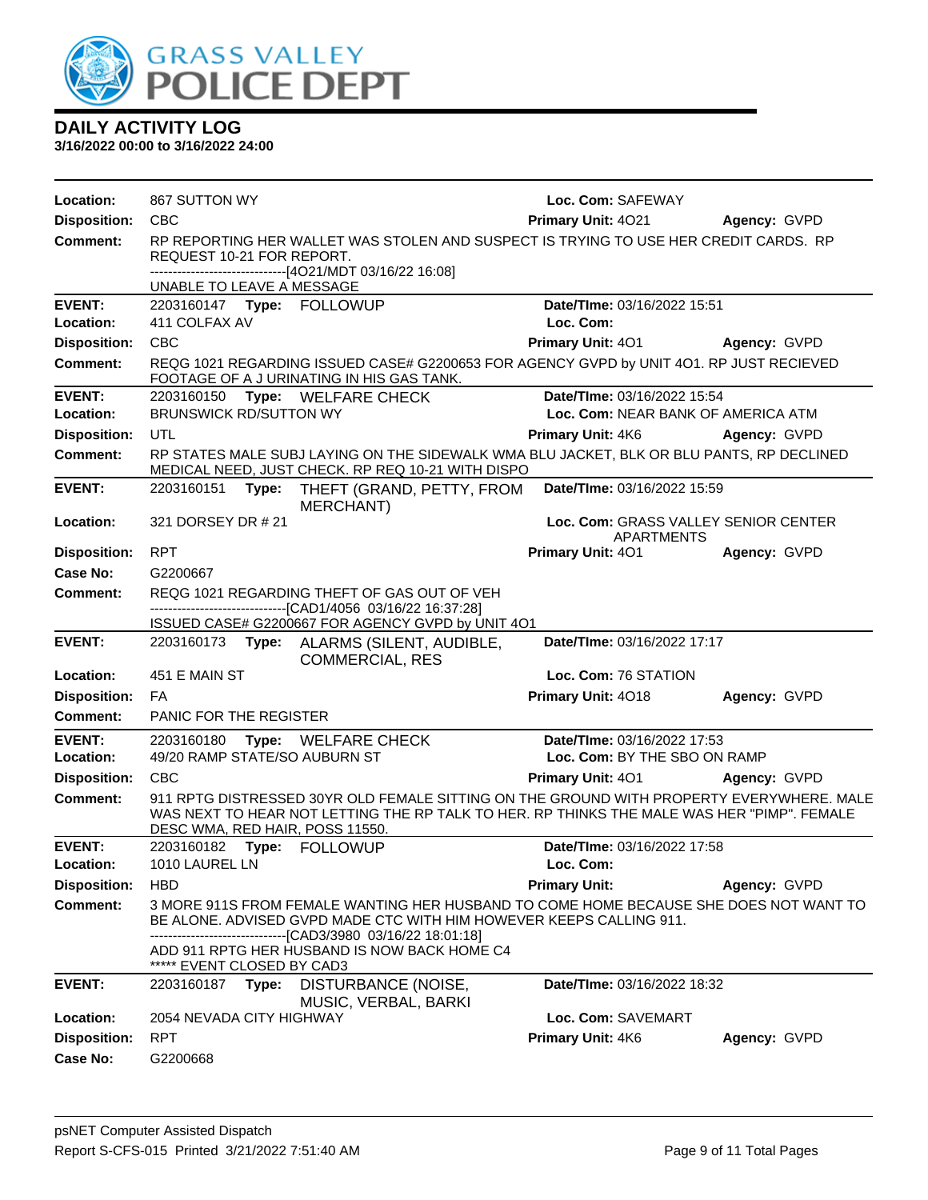

| Location:                  | 867 SUTTON WY                   |                                                                                                                                                                                                                               | Loc. Com: SAFEWAY                                         |                     |
|----------------------------|---------------------------------|-------------------------------------------------------------------------------------------------------------------------------------------------------------------------------------------------------------------------------|-----------------------------------------------------------|---------------------|
| <b>Disposition:</b>        | <b>CBC</b>                      |                                                                                                                                                                                                                               | Primary Unit: 4021                                        | Agency: GVPD        |
| <b>Comment:</b>            | REQUEST 10-21 FOR REPORT.       | RP REPORTING HER WALLET WAS STOLEN AND SUSPECT IS TRYING TO USE HER CREDIT CARDS. RP<br>-------------------------------[4O21/MDT 03/16/22 16:08]                                                                              |                                                           |                     |
|                            | UNABLE TO LEAVE A MESSAGE       |                                                                                                                                                                                                                               |                                                           |                     |
| <b>EVENT:</b><br>Location: | 411 COLFAX AV                   |                                                                                                                                                                                                                               | Date/TIme: 03/16/2022 15:51<br>Loc. Com:                  |                     |
| <b>Disposition:</b>        | CBC                             |                                                                                                                                                                                                                               | <b>Primary Unit: 401</b>                                  | <b>Agency: GVPD</b> |
| Comment:                   |                                 | REQG 1021 REGARDING ISSUED CASE# G2200653 FOR AGENCY GVPD by UNIT 4O1. RP JUST RECIEVED<br>FOOTAGE OF A JURINATING IN HIS GAS TANK.                                                                                           |                                                           |                     |
| <b>EVENT:</b>              | 2203160150 Type: WELFARE CHECK  |                                                                                                                                                                                                                               | Date/TIme: 03/16/2022 15:54                               |                     |
| Location:                  | <b>BRUNSWICK RD/SUTTON WY</b>   |                                                                                                                                                                                                                               | Loc. Com: NEAR BANK OF AMERICA ATM                        |                     |
| <b>Disposition:</b>        | UTL                             |                                                                                                                                                                                                                               | <b>Primary Unit: 4K6</b>                                  | Agency: GVPD        |
| <b>Comment:</b>            |                                 | RP STATES MALE SUBJ LAYING ON THE SIDEWALK WMA BLU JACKET, BLK OR BLU PANTS, RP DECLINED<br>MEDICAL NEED, JUST CHECK. RP REQ 10-21 WITH DISPO                                                                                 |                                                           |                     |
| <b>EVENT:</b>              |                                 | 2203160151 Type: THEFT (GRAND, PETTY, FROM<br>MERCHANT)                                                                                                                                                                       | Date/TIme: 03/16/2022 15:59                               |                     |
| Location:                  | 321 DORSEY DR # 21              |                                                                                                                                                                                                                               | Loc. Com: GRASS VALLEY SENIOR CENTER<br><b>APARTMENTS</b> |                     |
| <b>Disposition:</b>        | <b>RPT</b>                      |                                                                                                                                                                                                                               | Primary Unit: 401                                         | Agency: GVPD        |
| Case No:                   | G2200667                        |                                                                                                                                                                                                                               |                                                           |                     |
| Comment:                   |                                 | REQG 1021 REGARDING THEFT OF GAS OUT OF VEH                                                                                                                                                                                   |                                                           |                     |
|                            |                                 | -------------------------------[CAD1/4056 03/16/22 16:37:28]<br>ISSUED CASE# G2200667 FOR AGENCY GVPD by UNIT 4O1                                                                                                             |                                                           |                     |
| <b>EVENT:</b>              |                                 | 2203160173 Type: ALARMS (SILENT, AUDIBLE,<br><b>COMMERCIAL, RES</b>                                                                                                                                                           | Date/TIme: 03/16/2022 17:17                               |                     |
| Location:                  | 451 E MAIN ST                   |                                                                                                                                                                                                                               | Loc. Com: 76 STATION                                      |                     |
| <b>Disposition:</b>        | <b>FA</b>                       |                                                                                                                                                                                                                               | Primary Unit: 4018                                        | Agency: GVPD        |
| <b>Comment:</b>            | PANIC FOR THE REGISTER          |                                                                                                                                                                                                                               |                                                           |                     |
| <b>EVENT:</b>              | 2203160180                      | Type: WELFARE CHECK                                                                                                                                                                                                           | Date/TIme: 03/16/2022 17:53                               |                     |
| Location:                  | 49/20 RAMP STATE/SO AUBURN ST   |                                                                                                                                                                                                                               | Loc. Com: BY THE SBO ON RAMP                              |                     |
| <b>Disposition:</b>        | <b>CBC</b>                      |                                                                                                                                                                                                                               | <b>Primary Unit: 401</b>                                  | Agency: GVPD        |
| <b>Comment:</b>            | DESC WMA, RED HAIR, POSS 11550. | 911 RPTG DISTRESSED 30YR OLD FEMALE SITTING ON THE GROUND WITH PROPERTY EVERYWHERE. MALE<br>WAS NEXT TO HEAR NOT LETTING THE RP TALK TO HER. RP THINKS THE MALE WAS HER "PIMP". FEMALE                                        |                                                           |                     |
| <b>EVENT:</b>              | 2203160182 Type: FOLLOWUP       |                                                                                                                                                                                                                               | Date/TIme: 03/16/2022 17:58                               |                     |
| Location:                  | 1010 LAUREL LN                  |                                                                                                                                                                                                                               | Loc. Com:                                                 |                     |
| <b>Disposition:</b>        | <b>HBD</b>                      |                                                                                                                                                                                                                               | <b>Primary Unit:</b>                                      | Agency: GVPD        |
| <b>Comment:</b>            |                                 | 3 MORE 911S FROM FEMALE WANTING HER HUSBAND TO COME HOME BECAUSE SHE DOES NOT WANT TO<br>BE ALONE. ADVISED GVPD MADE CTC WITH HIM HOWEVER KEEPS CALLING 911.<br>--------------------------------[CAD3/3980_03/16/22 18:01:18] |                                                           |                     |
|                            | ***** EVENT CLOSED BY CAD3      | ADD 911 RPTG HER HUSBAND IS NOW BACK HOME C4                                                                                                                                                                                  |                                                           |                     |
| <b>EVENT:</b>              | 2203160187<br>Type:             | DISTURBANCE (NOISE,<br>MUSIC, VERBAL, BARKI                                                                                                                                                                                   | Date/TIme: 03/16/2022 18:32                               |                     |
| Location:                  | 2054 NEVADA CITY HIGHWAY        |                                                                                                                                                                                                                               | Loc. Com: SAVEMART                                        |                     |
| <b>Disposition:</b>        | <b>RPT</b>                      |                                                                                                                                                                                                                               | Primary Unit: 4K6                                         | Agency: GVPD        |
| <b>Case No:</b>            | G2200668                        |                                                                                                                                                                                                                               |                                                           |                     |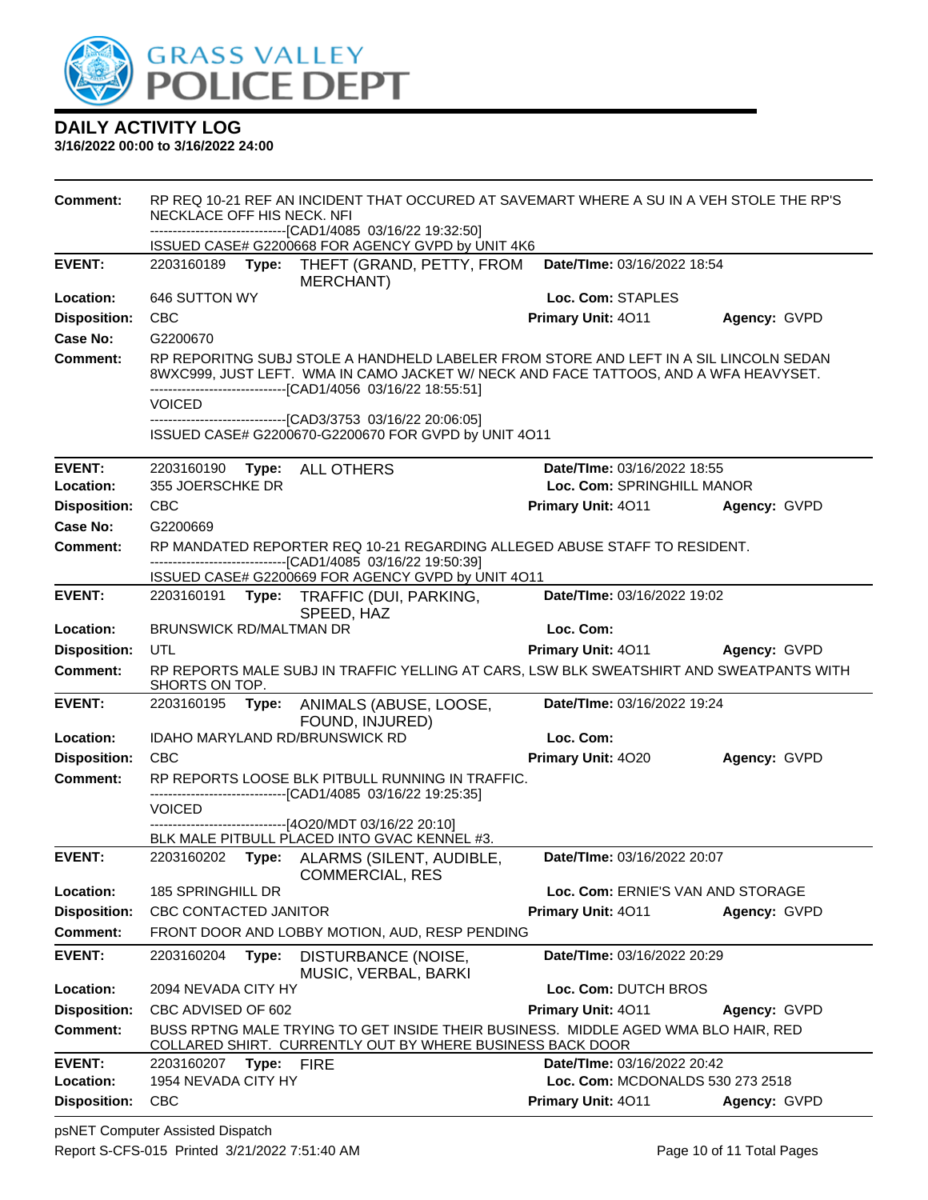

| <b>Comment:</b>            | RP REQ 10-21 REF AN INCIDENT THAT OCCURED AT SAVEMART WHERE A SU IN A VEH STOLE THE RP'S<br>NECKLACE OFF HIS NECK. NFI                                                                                                                        |                                                           |              |  |  |
|----------------------------|-----------------------------------------------------------------------------------------------------------------------------------------------------------------------------------------------------------------------------------------------|-----------------------------------------------------------|--------------|--|--|
|                            | --------------------------[CAD1/4085 03/16/22 19:32:50]<br>ISSUED CASE# G2200668 FOR AGENCY GVPD by UNIT 4K6                                                                                                                                  |                                                           |              |  |  |
| <b>EVENT:</b>              | 2203160189<br>Type:<br>THEFT (GRAND, PETTY, FROM<br><b>MERCHANT</b> )                                                                                                                                                                         | Date/TIme: 03/16/2022 18:54                               |              |  |  |
| Location:                  | 646 SUTTON WY                                                                                                                                                                                                                                 | Loc. Com: STAPLES                                         |              |  |  |
| <b>Disposition:</b>        | <b>CBC</b>                                                                                                                                                                                                                                    | Primary Unit: 4011                                        | Agency: GVPD |  |  |
| Case No:                   | G2200670                                                                                                                                                                                                                                      |                                                           |              |  |  |
| <b>Comment:</b>            | RP REPORITNG SUBJ STOLE A HANDHELD LABELER FROM STORE AND LEFT IN A SIL LINCOLN SEDAN<br>8WXC999, JUST LEFT. WMA IN CAMO JACKET W/ NECK AND FACE TATTOOS, AND A WFA HEAVYSET.<br>-------------------------------[CAD1/4056 03/16/22 18:55:51] |                                                           |              |  |  |
|                            | VOICED<br>-------------------------------[CAD3/3753 03/16/22 20:06:05]                                                                                                                                                                        |                                                           |              |  |  |
|                            | ISSUED CASE# G2200670-G2200670 FOR GVPD by UNIT 4O11                                                                                                                                                                                          |                                                           |              |  |  |
|                            |                                                                                                                                                                                                                                               |                                                           |              |  |  |
| <b>EVENT:</b><br>Location: | 2203160190<br>Type: ALL OTHERS<br>355 JOERSCHKE DR                                                                                                                                                                                            | Date/TIme: 03/16/2022 18:55<br>Loc. Com: SPRINGHILL MANOR |              |  |  |
| <b>Disposition:</b>        | <b>CBC</b>                                                                                                                                                                                                                                    | Primary Unit: 4011                                        | Agency: GVPD |  |  |
| Case No:                   | G2200669                                                                                                                                                                                                                                      |                                                           |              |  |  |
| <b>Comment:</b>            | RP MANDATED REPORTER REQ 10-21 REGARDING ALLEGED ABUSE STAFF TO RESIDENT.                                                                                                                                                                     |                                                           |              |  |  |
|                            | ---------------------------------[CAD1/4085 03/16/22 19:50:39]                                                                                                                                                                                |                                                           |              |  |  |
| <b>EVENT:</b>              | ISSUED CASE# G2200669 FOR AGENCY GVPD by UNIT 4O11                                                                                                                                                                                            | Date/TIme: 03/16/2022 19:02                               |              |  |  |
|                            | 2203160191 Type: TRAFFIC (DUI, PARKING,<br>SPEED, HAZ                                                                                                                                                                                         |                                                           |              |  |  |
| Location:                  | BRUNSWICK RD/MALTMAN DR                                                                                                                                                                                                                       | Loc. Com:                                                 |              |  |  |
| <b>Disposition:</b>        | UTL                                                                                                                                                                                                                                           | Primary Unit: 4011                                        | Agency: GVPD |  |  |
| <b>Comment:</b>            | RP REPORTS MALE SUBJ IN TRAFFIC YELLING AT CARS, LSW BLK SWEATSHIRT AND SWEATPANTS WITH<br>SHORTS ON TOP.                                                                                                                                     |                                                           |              |  |  |
| <b>EVENT:</b>              | 2203160195<br>Type:<br>ANIMALS (ABUSE, LOOSE,<br>FOUND, INJURED)                                                                                                                                                                              | Date/TIme: 03/16/2022 19:24                               |              |  |  |
| Location:                  | IDAHO MARYLAND RD/BRUNSWICK RD                                                                                                                                                                                                                | Loc. Com:                                                 |              |  |  |
|                            |                                                                                                                                                                                                                                               |                                                           |              |  |  |
| <b>Disposition:</b>        | <b>CBC</b>                                                                                                                                                                                                                                    | Primary Unit: 4020                                        | Agency: GVPD |  |  |
| <b>Comment:</b>            | RP REPORTS LOOSE BLK PITBULL RUNNING IN TRAFFIC.<br>--------------------------[CAD1/4085_03/16/22_19:25:35]                                                                                                                                   |                                                           |              |  |  |
|                            | <b>VOICED</b>                                                                                                                                                                                                                                 |                                                           |              |  |  |
|                            | ------------------------------[4O20/MDT 03/16/22 20:10]<br>BLK MALE PITBULL PLACED INTO GVAC KENNEL #3.                                                                                                                                       |                                                           |              |  |  |
| <b>EVENT:</b>              | 2203160202<br>Type: ALARMS (SILENT, AUDIBLE,<br><b>COMMERCIAL, RES</b>                                                                                                                                                                        | Date/TIme: 03/16/2022 20:07                               |              |  |  |
| Location:                  | 185 SPRINGHILL DR                                                                                                                                                                                                                             | Loc. Com: ERNIE'S VAN AND STORAGE                         |              |  |  |
| <b>Disposition:</b>        | CBC CONTACTED JANITOR                                                                                                                                                                                                                         | Primary Unit: 4011                                        | Agency: GVPD |  |  |
| Comment:                   | FRONT DOOR AND LOBBY MOTION, AUD, RESP PENDING                                                                                                                                                                                                |                                                           |              |  |  |
| <b>EVENT:</b>              | 2203160204<br>Type:<br>DISTURBANCE (NOISE,<br>MUSIC, VERBAL, BARKI                                                                                                                                                                            | Date/TIme: 03/16/2022 20:29                               |              |  |  |
| Location:                  | 2094 NEVADA CITY HY                                                                                                                                                                                                                           | Loc. Com: DUTCH BROS                                      |              |  |  |
| <b>Disposition:</b>        | CBC ADVISED OF 602                                                                                                                                                                                                                            | Primary Unit: 4011                                        | Agency: GVPD |  |  |
| <b>Comment:</b>            | BUSS RPTNG MALE TRYING TO GET INSIDE THEIR BUSINESS. MIDDLE AGED WMA BLO HAIR, RED                                                                                                                                                            |                                                           |              |  |  |
| <b>EVENT:</b>              | COLLARED SHIRT. CURRENTLY OUT BY WHERE BUSINESS BACK DOOR<br>2203160207<br>Type:<br><b>FIRE</b>                                                                                                                                               | <b>Date/Time: 03/16/2022 20:42</b>                        |              |  |  |
| Location:                  | 1954 NEVADA CITY HY                                                                                                                                                                                                                           | Loc. Com: MCDONALDS 530 273 2518                          |              |  |  |